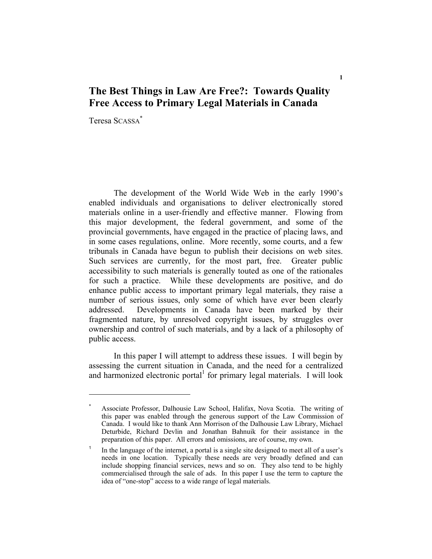# **The Best Things in Law Are Free?: Towards Quality Free Access to Primary Legal Materials in Canada**

Teresa SCASSA\*

 The development of the World Wide Web in the early 1990's enabled individuals and organisations to deliver electronically stored materials online in a user-friendly and effective manner. Flowing from this major development, the federal government, and some of the provincial governments, have engaged in the practice of placing laws, and in some cases regulations, online. More recently, some courts, and a few tribunals in Canada have begun to publish their decisions on web sites. Such services are currently, for the most part, free. Greater public accessibility to such materials is generally touted as one of the rationales for such a practice. While these developments are positive, and do enhance public access to important primary legal materials, they raise a number of serious issues, only some of which have ever been clearly addressed. Developments in Canada have been marked by their fragmented nature, by unresolved copyright issues, by struggles over ownership and control of such materials, and by a lack of a philosophy of public access.

 In this paper I will attempt to address these issues. I will begin by assessing the current situation in Canada, and the need for a centralized and harmonized electronic portal $1$  for primary legal materials. I will look

<sup>\*</sup> Associate Professor, Dalhousie Law School, Halifax, Nova Scotia. The writing of this paper was enabled through the generous support of the Law Commission of Canada. I would like to thank Ann Morrison of the Dalhousie Law Library, Michael Deturbide, Richard Devlin and Jonathan Bahnuik for their assistance in the preparation of this paper. All errors and omissions, are of course, my own.

<sup>&</sup>lt;sup>1</sup> In the language of the internet, a portal is a single site designed to meet all of a user's needs in one location. Typically these needs are very broadly defined and can include shopping financial services, news and so on. They also tend to be highly commercialised through the sale of ads. In this paper I use the term to capture the idea of "one-stop" access to a wide range of legal materials.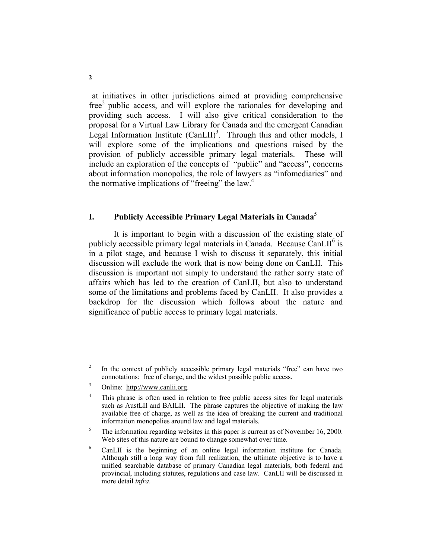at initiatives in other jurisdictions aimed at providing comprehensive  $free<sup>2</sup>$  public access, and will explore the rationales for developing and providing such access. I will also give critical consideration to the proposal for a Virtual Law Library for Canada and the emergent Canadian Legal Information Institute  $(CanLII)^3$ . Through this and other models, I will explore some of the implications and questions raised by the provision of publicly accessible primary legal materials. These will include an exploration of the concepts of "public" and "access", concerns about information monopolies, the role of lawyers as "infomediaries" and the normative implications of "freeing" the law.<sup>4</sup>

# **I. Publicly Accessible Primary Legal Materials in Canada**<sup>5</sup>

 It is important to begin with a discussion of the existing state of publicly accessible primary legal materials in Canada. Because CanLII<sup>6</sup> is in a pilot stage, and because I wish to discuss it separately, this initial discussion will exclude the work that is now being done on CanLII. This discussion is important not simply to understand the rather sorry state of affairs which has led to the creation of CanLII, but also to understand some of the limitations and problems faced by CanLII. It also provides a backdrop for the discussion which follows about the nature and significance of public access to primary legal materials.

<sup>2</sup> In the context of publicly accessible primary legal materials "free" can have two connotations: free of charge, and the widest possible public access.

<sup>3</sup> Online: http://www.canlii.org.

<sup>4</sup> This phrase is often used in relation to free public access sites for legal materials such as AustLII and BAILII. The phrase captures the objective of making the law available free of charge, as well as the idea of breaking the current and traditional information monopolies around law and legal materials.

<sup>5</sup> The information regarding websites in this paper is current as of November 16, 2000. Web sites of this nature are bound to change somewhat over time.

<sup>6</sup> CanLII is the beginning of an online legal information institute for Canada. Although still a long way from full realization, the ultimate objective is to have a unified searchable database of primary Canadian legal materials, both federal and provincial, including statutes, regulations and case law. CanLII will be discussed in more detail *infra*.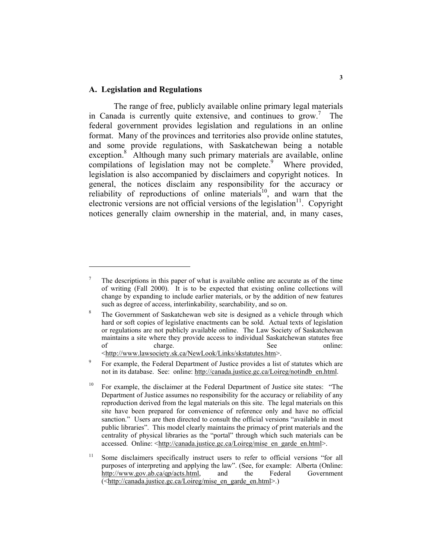#### **A. Legislation and Regulations**

 The range of free, publicly available online primary legal materials in Canada is currently quite extensive, and continues to grow.<sup>7</sup> The federal government provides legislation and regulations in an online format. Many of the provinces and territories also provide online statutes, and some provide regulations, with Saskatchewan being a notable exception.<sup>8</sup> Although many such primary materials are available, online compilations of legislation may not be complete.<sup>9</sup> Where provided, legislation is also accompanied by disclaimers and copyright notices. In general, the notices disclaim any responsibility for the accuracy or reliability of reproductions of online materials<sup>10</sup>, and warn that the electronic versions are not official versions of the legislation<sup>11</sup>. Copyright notices generally claim ownership in the material, and, in many cases,

<sup>7</sup> The descriptions in this paper of what is available online are accurate as of the time of writing (Fall 2000). It is to be expected that existing online collections will change by expanding to include earlier materials, or by the addition of new features such as degree of access, interlinkability, searchability, and so on.

<sup>8</sup> The Government of Saskatchewan web site is designed as a vehicle through which hard or soft copies of legislative enactments can be sold. Actual texts of legislation or regulations are not publicly available online. The Law Society of Saskatchewan maintains a site where they provide access to individual Saskatchewan statutes free<br>of tharge charge  $\frac{1}{2}$ of charge. See online: <http://www.lawsociety.sk.ca/NewLook/Links/skstatutes.htm>.

<sup>9</sup> For example, the Federal Department of Justice provides a list of statutes which are not in its database. See: online: http://canada.justice.gc.ca/Loireg/notindb\_en.html.

<sup>&</sup>lt;sup>10</sup> For example, the disclaimer at the Federal Department of Justice site states: "The Department of Justice assumes no responsibility for the accuracy or reliability of any reproduction derived from the legal materials on this site. The legal materials on this site have been prepared for convenience of reference only and have no official sanction." Users are then directed to consult the official versions "available in most public libraries". This model clearly maintains the primacy of print materials and the centrality of physical libraries as the "portal" through which such materials can be accessed. Online: <http://canada.justice.gc.ca/Loireg/mise\_en\_garde\_en.html>.

<sup>&</sup>lt;sup>11</sup> Some disclaimers specifically instruct users to refer to official versions "for all purposes of interpreting and applying the law". (See, for example: Alberta (Online: http://www.gov.ab.ca/qp/acts.html, and the Federal Government (<http://canada.justice.gc.ca/Loireg/mise\_en\_garde\_en.html>.)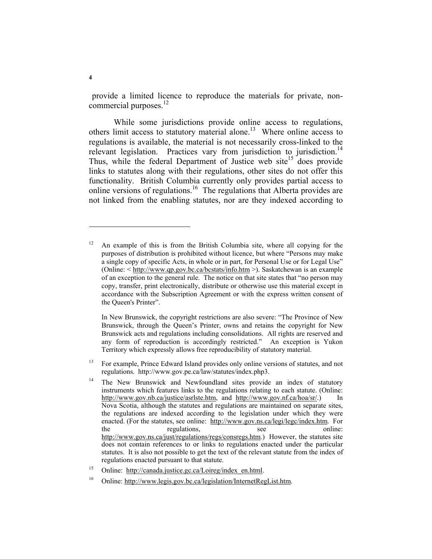provide a limited licence to reproduce the materials for private, noncommercial purposes. $^{12}$ 

 While some jurisdictions provide online access to regulations, others limit access to statutory material alone.<sup>13</sup> Where online access to regulations is available, the material is not necessarily cross-linked to the relevant legislation. Practices vary from jurisdiction to jurisdiction.<sup>14</sup> Thus, while the federal Department of Justice web site<sup>15</sup> does provide links to statutes along with their regulations, other sites do not offer this functionality. British Columbia currently only provides partial access to online versions of regulations.<sup>16</sup> The regulations that Alberta provides are not linked from the enabling statutes, nor are they indexed according to

 In New Brunswick, the copyright restrictions are also severe: "The Province of New Brunswick, through the Queen's Printer, owns and retains the copyright for New Brunswick acts and regulations including consolidations. All rights are reserved and any form of reproduction is accordingly restricted." An exception is Yukon Territory which expressly allows free reproducibility of statutory material.

<sup>13</sup> For example, Prince Edward Island provides only online versions of statutes, and not regulations. http://www.gov.pe.ca/law/statutes/index.php3.

16 Online: http://www.legis.gov.bc.ca/legislation/InternetRegList.htm.

 $12$  An example of this is from the British Columbia site, where all copying for the purposes of distribution is prohibited without licence, but where "Persons may make a single copy of specific Acts, in whole or in part, for Personal Use or for Legal Use" (Online: < http://www.qp.gov.bc.ca/bcstats/info.htm >). Saskatchewan is an example of an exception to the general rule. The notice on that site states that "no person may copy, transfer, print electronically, distribute or otherwise use this material except in accordance with the Subscription Agreement or with the express written consent of the Queen's Printer".

<sup>&</sup>lt;sup>14</sup> The New Brunswick and Newfoundland sites provide an index of statutory instruments which features links to the regulations relating to each statute. (Online: http://www.gov.nb.ca/justice/asrlste.htm, and http://www.gov.nf.ca/hoa/sr/.) In Nova Scotia, although the statutes and regulations are maintained on separate sites, the regulations are indexed according to the legislation under which they were enacted. (For the statutes, see online: http://www.gov.ns.ca/legi/legc/index.htm. For the regulations, see online: http://www.gov.ns.ca/just/regulations/regs/consregs.htm.) However, the statutes site does not contain references to or links to regulations enacted under the particular statutes. It is also not possible to get the text of the relevant statute from the index of regulations enacted pursuant to that statute.

<sup>&</sup>lt;sup>15</sup> Online: http://canada.justice.gc.ca/Loireg/index en.html.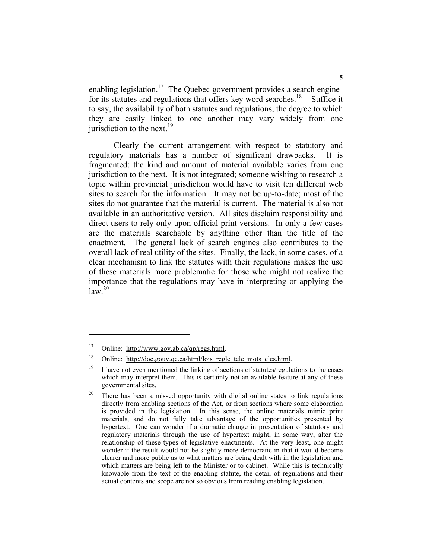enabling legislation.<sup>17</sup> The Quebec government provides a search engine for its statutes and regulations that offers key word searches.<sup>18</sup> Suffice it to say, the availability of both statutes and regulations, the degree to which they are easily linked to one another may vary widely from one jurisdiction to the next.<sup>19</sup>

 Clearly the current arrangement with respect to statutory and regulatory materials has a number of significant drawbacks. It is fragmented; the kind and amount of material available varies from one jurisdiction to the next. It is not integrated; someone wishing to research a topic within provincial jurisdiction would have to visit ten different web sites to search for the information. It may not be up-to-date; most of the sites do not guarantee that the material is current. The material is also not available in an authoritative version. All sites disclaim responsibility and direct users to rely only upon official print versions. In only a few cases are the materials searchable by anything other than the title of the enactment. The general lack of search engines also contributes to the overall lack of real utility of the sites. Finally, the lack, in some cases, of a clear mechanism to link the statutes with their regulations makes the use of these materials more problematic for those who might not realize the importance that the regulations may have in interpreting or applying the  $law<sup>20</sup>$ 

<sup>17</sup> Online: http://www.gov.ab.ca/qp/regs.html.

<sup>&</sup>lt;sup>18</sup> Online: http://doc.gouv.qc.ca/html/lois regle tele mots cles.html.

 $19$  I have not even mentioned the linking of sections of statutes/regulations to the cases which may interpret them. This is certainly not an available feature at any of these governmental sites.

<sup>&</sup>lt;sup>20</sup> There has been a missed opportunity with digital online states to link regulations directly from enabling sections of the Act, or from sections where some elaboration is provided in the legislation. In this sense, the online materials mimic print materials, and do not fully take advantage of the opportunities presented by hypertext. One can wonder if a dramatic change in presentation of statutory and regulatory materials through the use of hypertext might, in some way, alter the relationship of these types of legislative enactments. At the very least, one might wonder if the result would not be slightly more democratic in that it would become clearer and more public as to what matters are being dealt with in the legislation and which matters are being left to the Minister or to cabinet. While this is technically knowable from the text of the enabling statute, the detail of regulations and their actual contents and scope are not so obvious from reading enabling legislation.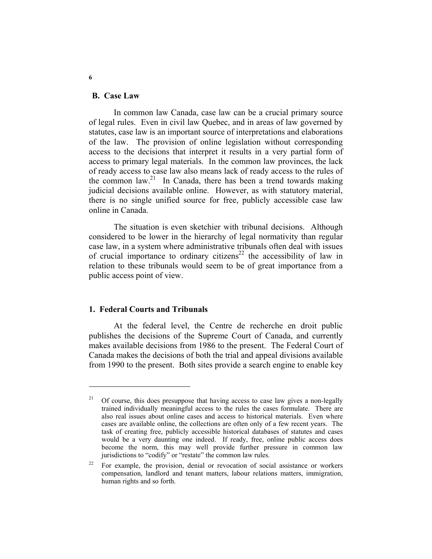#### **B. Case Law**

 In common law Canada, case law can be a crucial primary source of legal rules. Even in civil law Quebec, and in areas of law governed by statutes, case law is an important source of interpretations and elaborations of the law. The provision of online legislation without corresponding access to the decisions that interpret it results in a very partial form of access to primary legal materials. In the common law provinces, the lack of ready access to case law also means lack of ready access to the rules of the common law.<sup>21</sup> In Canada, there has been a trend towards making judicial decisions available online. However, as with statutory material, there is no single unified source for free, publicly accessible case law online in Canada.

 The situation is even sketchier with tribunal decisions. Although considered to be lower in the hierarchy of legal normativity than regular case law, in a system where administrative tribunals often deal with issues of crucial importance to ordinary citizens<sup>22</sup> the accessibility of law in relation to these tribunals would seem to be of great importance from a public access point of view.

#### **1. Federal Courts and Tribunals**

 At the federal level, the Centre de recherche en droit public publishes the decisions of the Supreme Court of Canada, and currently makes available decisions from 1986 to the present. The Federal Court of Canada makes the decisions of both the trial and appeal divisions available from 1990 to the present. Both sites provide a search engine to enable key

**6** 

<sup>21</sup> Of course, this does presuppose that having access to case law gives a non-legally trained individually meaningful access to the rules the cases formulate. There are also real issues about online cases and access to historical materials. Even where cases are available online, the collections are often only of a few recent years. The task of creating free, publicly accessible historical databases of statutes and cases would be a very daunting one indeed. If ready, free, online public access does become the norm, this may well provide further pressure in common law jurisdictions to "codify" or "restate" the common law rules.

<sup>&</sup>lt;sup>22</sup> For example, the provision, denial or revocation of social assistance or workers compensation, landlord and tenant matters, labour relations matters, immigration, human rights and so forth.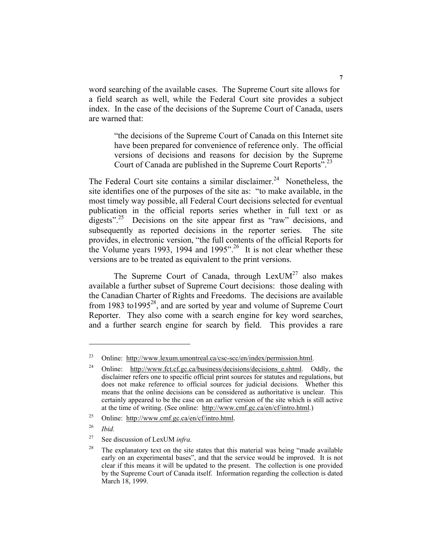word searching of the available cases. The Supreme Court site allows for a field search as well, while the Federal Court site provides a subject index. In the case of the decisions of the Supreme Court of Canada, users are warned that:

"the decisions of the Supreme Court of Canada on this Internet site have been prepared for convenience of reference only. The official versions of decisions and reasons for decision by the Supreme Court of Canada are published in the Supreme Court Reports".23

The Federal Court site contains a similar disclaimer.<sup>24</sup> Nonetheless, the site identifies one of the purposes of the site as: "to make available, in the most timely way possible, all Federal Court decisions selected for eventual publication in the official reports series whether in full text or as digests"<sup>25</sup> Decisions on the site appear first as "raw" decisions, and subsequently as reported decisions in the reporter series. The site provides, in electronic version, "the full contents of the official Reports for the Volume years 1993, 1994 and 1995".<sup>26</sup> It is not clear whether these versions are to be treated as equivalent to the print versions.

The Supreme Court of Canada, through  $LexUM<sup>27</sup>$  also makes available a further subset of Supreme Court decisions: those dealing with the Canadian Charter of Rights and Freedoms. The decisions are available from 1983 to1995 $28$ , and are sorted by year and volume of Supreme Court Reporter. They also come with a search engine for key word searches, and a further search engine for search by field. This provides a rare

<sup>&</sup>lt;sup>23</sup> Online: http://www.lexum.umontreal.ca/csc-scc/en/index/permission.html.

<sup>&</sup>lt;sup>24</sup> Online: http://www.fct.cf.gc.ca/business/decisions/decisions e.shtml. Oddly, the disclaimer refers one to specific official print sources for statutes and regulations, but does not make reference to official sources for judicial decisions. Whether this means that the online decisions can be considered as authoritative is unclear. This certainly appeared to be the case on an earlier version of the site which is still active at the time of writing. (See online: http://www.cmf.gc.ca/en/cf/intro.html.)

<sup>&</sup>lt;sup>25</sup> Online: http://www.cmf.gc.ca/en/cf/intro.html.

<sup>26</sup> *Ibid.*

<sup>27</sup> See discussion of LexUM *infra.*

 $28$  The explanatory text on the site states that this material was being "made available" early on an experimental bases", and that the service would be improved. It is not clear if this means it will be updated to the present. The collection is one provided by the Supreme Court of Canada itself. Information regarding the collection is dated March 18, 1999.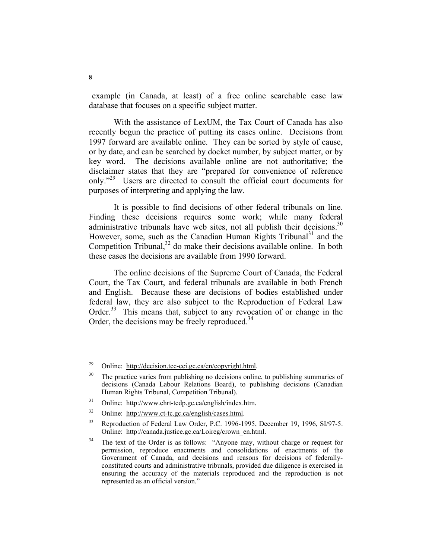example (in Canada, at least) of a free online searchable case law database that focuses on a specific subject matter.

 With the assistance of LexUM, the Tax Court of Canada has also recently begun the practice of putting its cases online. Decisions from 1997 forward are available online. They can be sorted by style of cause, or by date, and can be searched by docket number, by subject matter, or by key word. The decisions available online are not authoritative; the disclaimer states that they are "prepared for convenience of reference only."<sup>29</sup> Users are directed to consult the official court documents for purposes of interpreting and applying the law.

 It is possible to find decisions of other federal tribunals on line. Finding these decisions requires some work; while many federal administrative tribunals have web sites, not all publish their decisions.<sup>30</sup> However, some, such as the Canadian Human Rights Tribunal<sup>31</sup> and the Competition Tribunal, $32$  do make their decisions available online. In both these cases the decisions are available from 1990 forward.

 The online decisions of the Supreme Court of Canada, the Federal Court, the Tax Court, and federal tribunals are available in both French and English. Because these are decisions of bodies established under federal law, they are also subject to the Reproduction of Federal Law Order.<sup>33</sup> This means that, subject to any revocation of or change in the Order, the decisions may be freely reproduced.<sup>34</sup>

<sup>&</sup>lt;sup>29</sup> Online: http://decision.tcc-cci.gc.ca/en/copyright.html.

 $30$  The practice varies from publishing no decisions online, to publishing summaries of decisions (Canada Labour Relations Board), to publishing decisions (Canadian Human Rights Tribunal, Competition Tribunal).

<sup>31</sup> Online: http://www.chrt-tcdp.gc.ca/english/index.htm.

<sup>32</sup> Online: http://www.ct-tc.gc.ca/english/cases.html.

<sup>&</sup>lt;sup>33</sup> Reproduction of Federal Law Order, P.C. 1996-1995, December 19, 1996, SI/97-5. Online: http://canada.justice.gc.ca/Loireg/crown\_en.html.

<sup>&</sup>lt;sup>34</sup> The text of the Order is as follows: "Anyone may, without charge or request for permission, reproduce enactments and consolidations of enactments of the Government of Canada, and decisions and reasons for decisions of federallyconstituted courts and administrative tribunals, provided due diligence is exercised in ensuring the accuracy of the materials reproduced and the reproduction is not represented as an official version."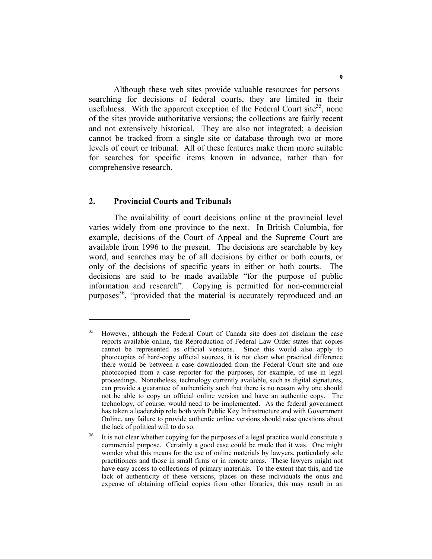Although these web sites provide valuable resources for persons searching for decisions of federal courts, they are limited in their usefulness. With the apparent exception of the Federal Court site<sup>35</sup>, none of the sites provide authoritative versions; the collections are fairly recent and not extensively historical. They are also not integrated; a decision cannot be tracked from a single site or database through two or more levels of court or tribunal. All of these features make them more suitable for searches for specific items known in advance, rather than for comprehensive research.

#### **2. Provincial Courts and Tribunals**

 The availability of court decisions online at the provincial level varies widely from one province to the next. In British Columbia, for example, decisions of the Court of Appeal and the Supreme Court are available from 1996 to the present. The decisions are searchable by key word, and searches may be of all decisions by either or both courts, or only of the decisions of specific years in either or both courts. The decisions are said to be made available "for the purpose of public information and research". Copying is permitted for non-commercial purposes<sup>36</sup>, "provided that the material is accurately reproduced and an

<sup>35</sup> However, although the Federal Court of Canada site does not disclaim the case reports available online, the Reproduction of Federal Law Order states that copies cannot be represented as official versions. Since this would also apply to photocopies of hard-copy official sources, it is not clear what practical difference there would be between a case downloaded from the Federal Court site and one photocopied from a case reporter for the purposes, for example, of use in legal proceedings. Nonetheless, technology currently available, such as digital signatures, can provide a guarantee of authenticity such that there is no reason why one should not be able to copy an official online version and have an authentic copy. The technology, of course, would need to be implemented. As the federal government has taken a leadership role both with Public Key Infrastructure and with Government Online, any failure to provide authentic online versions should raise questions about the lack of political will to do so.

<sup>&</sup>lt;sup>36</sup> It is not clear whether copying for the purposes of a legal practice would constitute a commercial purpose. Certainly a good case could be made that it was. One might wonder what this means for the use of online materials by lawyers, particularly sole practitioners and those in small firms or in remote areas. These lawyers might not have easy access to collections of primary materials. To the extent that this, and the lack of authenticity of these versions, places on these individuals the onus and expense of obtaining official copies from other libraries, this may result in an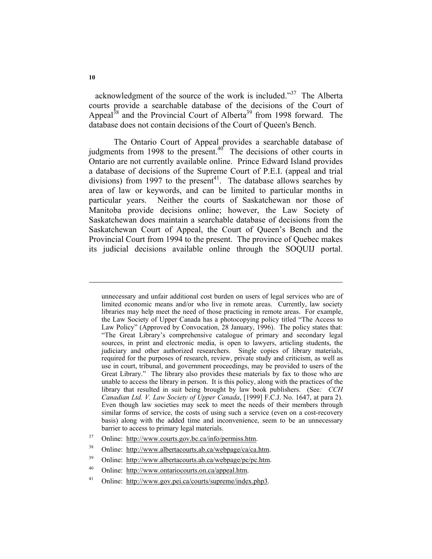acknowledgment of the source of the work is included."37 The Alberta courts provide a searchable database of the decisions of the Court of Appeal<sup>38</sup> and the Provincial Court of Alberta<sup>39</sup> from 1998 forward. The database does not contain decisions of the Court of Queen's Bench.

 The Ontario Court of Appeal provides a searchable database of judgments from 1998 to the present.<sup>40</sup> The decisions of other courts in Ontario are not currently available online. Prince Edward Island provides a database of decisions of the Supreme Court of P.E.I. (appeal and trial divisions) from 1997 to the present<sup>41</sup>. The database allows searches by area of law or keywords, and can be limited to particular months in particular years. Neither the courts of Saskatchewan nor those of Manitoba provide decisions online; however, the Law Society of Saskatchewan does maintain a searchable database of decisions from the Saskatchewan Court of Appeal, the Court of Queen's Bench and the Provincial Court from 1994 to the present. The province of Quebec makes its judicial decisions available online through the SOQUIJ portal.

unnecessary and unfair additional cost burden on users of legal services who are of limited economic means and/or who live in remote areas. Currently, law society libraries may help meet the need of those practicing in remote areas. For example, the Law Society of Upper Canada has a photocopying policy titled "The Access to Law Policy" (Approved by Convocation, 28 January, 1996). The policy states that: "The Great Library's comprehensive catalogue of primary and secondary legal sources, in print and electronic media, is open to lawyers, articling students, the judiciary and other authorized researchers. Single copies of library materials, required for the purposes of research, review, private study and criticism, as well as use in court, tribunal, and government proceedings, may be provided to users of the Great Library." The library also provides these materials by fax to those who are unable to access the library in person. It is this policy, along with the practices of the library that resulted in suit being brought by law book publishers. (See*: CCH Canadian Ltd. V. Law Society of Upper Canada*, [1999] F.C.J. No. 1647, at para 2). Even though law societies may seek to meet the needs of their members through similar forms of service, the costs of using such a service (even on a cost-recovery basis) along with the added time and inconvenience, seem to be an unnecessary barrier to access to primary legal materials.

<sup>37</sup> Online: http://www.courts.gov.bc.ca/info/permiss.htm.

<sup>38</sup> Online: http://www.albertacourts.ab.ca/webpage/ca/ca.htm.

<sup>39</sup> Online: http://www.albertacourts.ab.ca/webpage/pc/pc.htm.

<sup>40</sup> Online: http://www.ontariocourts.on.ca/appeal.htm.

<sup>41</sup> Online: http://www.gov.pei.ca/courts/supreme/index.php3.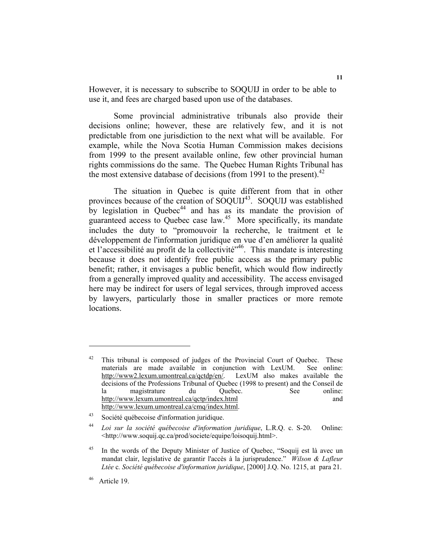However, it is necessary to subscribe to SOQUIJ in order to be able to use it, and fees are charged based upon use of the databases.

 Some provincial administrative tribunals also provide their decisions online; however, these are relatively few, and it is not predictable from one jurisdiction to the next what will be available. For example, while the Nova Scotia Human Commission makes decisions from 1999 to the present available online, few other provincial human rights commissions do the same. The Quebec Human Rights Tribunal has the most extensive database of decisions (from 1991 to the present).<sup>42</sup>

 The situation in Quebec is quite different from that in other provinces because of the creation of SOQUIJ<sup>43</sup>. SOQUIJ was established by legislation in Quebec<sup>44</sup> and has as its mandate the provision of guaranteed access to Quebec case law.<sup>45</sup> More specifically, its mandate includes the duty to "promouvoir la recherche, le traitment et le développement de l'information juridique en vue d'en améliorer la qualité et l'accessibilité au profit de la collectivité<sup> $346$ </sup>. This mandate is interesting because it does not identify free public access as the primary public benefit; rather, it envisages a public benefit, which would flow indirectly from a generally improved quality and accessibility. The access envisaged here may be indirect for users of legal services, through improved access by lawyers, particularly those in smaller practices or more remote locations.

 $42$  This tribunal is composed of judges of the Provincial Court of Quebec. These materials are made available in conjunction with LexUM. See online: http://www2.lexum.umontreal.ca/qctdp/en/. LexUM also makes available the decisions of the Professions Tribunal of Quebec (1998 to present) and the Conseil de la magistrature du Quebec. See online: http://www.lexum.umontreal.ca/qctp/index.html and http://www.lexum.umontreal.ca/cmq/index.html.

<sup>43</sup> Société québecoise d'information juridique.

<sup>44</sup> *Loi sur la société québecoise d'information juridique*, L.R.Q. c. S-20. Online: <http://www.soquij.qc.ca/prod/societe/equipe/loisoquij.html>.

<sup>&</sup>lt;sup>45</sup> In the words of the Deputy Minister of Justice of Quebec, "Soquij est là avec un mandat clair, legislative de garantir l'accès à la jurisprudence." *Wilson & Lafleur Ltée* c*. Société québecoise d'information juridique*, [2000] J.Q. No. 1215, at para 21.

<sup>46</sup> Article 19.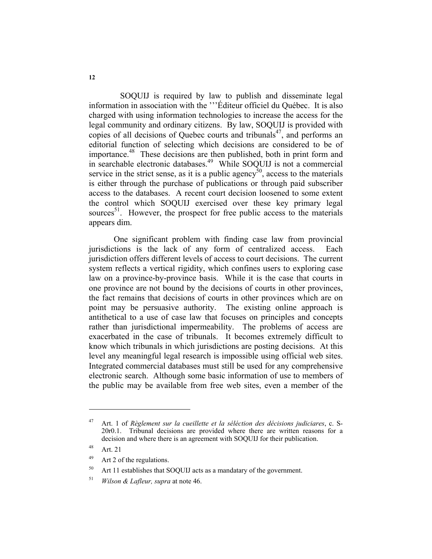SOQUIJ is required by law to publish and disseminate legal information in association with the '''Éditeur officiel du Québec. It is also charged with using information technologies to increase the access for the legal community and ordinary citizens. By law, SOQUIJ is provided with copies of all decisions of Quebec courts and tribunals $47$ , and performs an editorial function of selecting which decisions are considered to be of importance.<sup>48</sup> These decisions are then published, both in print form and in searchable electronic databases.<sup>49</sup> While SOQUIJ is not a commercial service in the strict sense, as it is a public agency<sup>50</sup>, access to the materials is either through the purchase of publications or through paid subscriber access to the databases. A recent court decision loosened to some extent the control which SOQUIJ exercised over these key primary legal sources<sup>51</sup>. However, the prospect for free public access to the materials appears dim.

 One significant problem with finding case law from provincial jurisdictions is the lack of any form of centralized access. Each jurisdiction offers different levels of access to court decisions. The current system reflects a vertical rigidity, which confines users to exploring case law on a province-by-province basis. While it is the case that courts in one province are not bound by the decisions of courts in other provinces, the fact remains that decisions of courts in other provinces which are on point may be persuasive authority. The existing online approach is antithetical to a use of case law that focuses on principles and concepts rather than jurisdictional impermeability. The problems of access are exacerbated in the case of tribunals. It becomes extremely difficult to know which tribunals in which jurisdictions are posting decisions. At this level any meaningful legal research is impossible using official web sites. Integrated commercial databases must still be used for any comprehensive electronic search. Although some basic information of use to members of the public may be available from free web sites, even a member of the

<sup>47</sup> Art. 1 of *Règlement sur la cueillette et la séléction des décisions judiciares*, c. S-20r0.1. Tribunal decisions are provided where there are written reasons for a decision and where there is an agreement with SOQUIJ for their publication.

 $48$  Art. 21

<sup>49</sup> Art 2 of the regulations.

<sup>50</sup> Art 11 establishes that SOQUIJ acts as a mandatary of the government.

<sup>51</sup> *Wilson & Lafleur, supra* at note 46.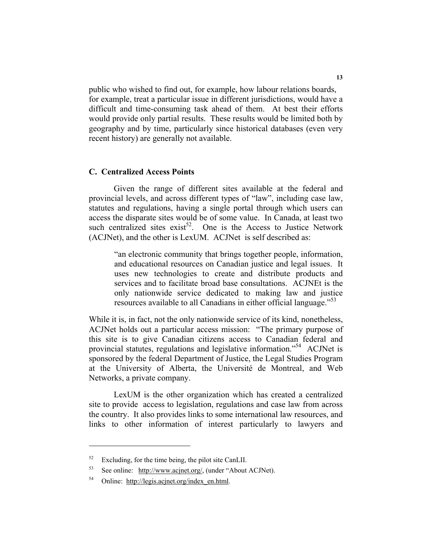public who wished to find out, for example, how labour relations boards, for example, treat a particular issue in different jurisdictions, would have a difficult and time-consuming task ahead of them. At best their efforts would provide only partial results. These results would be limited both by geography and by time, particularly since historical databases (even very recent history) are generally not available.

#### **C. Centralized Access Points**

 Given the range of different sites available at the federal and provincial levels, and across different types of "law", including case law, statutes and regulations, having a single portal through which users can access the disparate sites would be of some value. In Canada, at least two such centralized sites  $exist^{52}$ . One is the Access to Justice Network (ACJNet), and the other is LexUM. ACJNet is self described as:

> "an electronic community that brings together people, information, and educational resources on Canadian justice and legal issues. It uses new technologies to create and distribute products and services and to facilitate broad base consultations. ACJNEt is the only nationwide service dedicated to making law and justice resources available to all Canadians in either official language."<sup>53</sup>

While it is, in fact, not the only nationwide service of its kind, nonetheless, ACJNet holds out a particular access mission: "The primary purpose of this site is to give Canadian citizens access to Canadian federal and provincial statutes, regulations and legislative information."<sup>54</sup> ACJNet is sponsored by the federal Department of Justice, the Legal Studies Program at the University of Alberta, the Université de Montreal, and Web Networks, a private company.

 LexUM is the other organization which has created a centralized site to provide access to legislation, regulations and case law from across the country. It also provides links to some international law resources, and links to other information of interest particularly to lawyers and

 $52$  Excluding, for the time being, the pilot site CanLII.

<sup>53</sup> See online: http://www.acjnet.org/, (under "About ACJNet).

<sup>54</sup> Online: http://legis.acjnet.org/index\_en.html.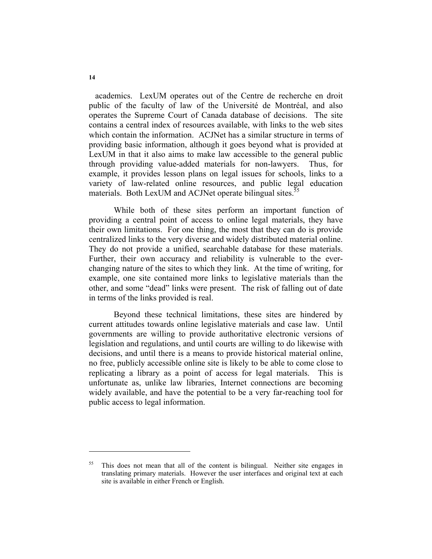academics. LexUM operates out of the Centre de recherche en droit public of the faculty of law of the Université de Montréal, and also operates the Supreme Court of Canada database of decisions. The site contains a central index of resources available, with links to the web sites which contain the information. ACJNet has a similar structure in terms of providing basic information, although it goes beyond what is provided at LexUM in that it also aims to make law accessible to the general public through providing value-added materials for non-lawyers. Thus, for example, it provides lesson plans on legal issues for schools, links to a variety of law-related online resources, and public legal education materials. Both LexUM and ACJNet operate bilingual sites.<sup>55</sup>

 While both of these sites perform an important function of providing a central point of access to online legal materials, they have their own limitations. For one thing, the most that they can do is provide centralized links to the very diverse and widely distributed material online. They do not provide a unified, searchable database for these materials. Further, their own accuracy and reliability is vulnerable to the everchanging nature of the sites to which they link. At the time of writing, for example, one site contained more links to legislative materials than the other, and some "dead" links were present. The risk of falling out of date in terms of the links provided is real.

 Beyond these technical limitations, these sites are hindered by current attitudes towards online legislative materials and case law. Until governments are willing to provide authoritative electronic versions of legislation and regulations, and until courts are willing to do likewise with decisions, and until there is a means to provide historical material online, no free, publicly accessible online site is likely to be able to come close to replicating a library as a point of access for legal materials. This is unfortunate as, unlike law libraries, Internet connections are becoming widely available, and have the potential to be a very far-reaching tool for public access to legal information.

<sup>&</sup>lt;sup>55</sup> This does not mean that all of the content is bilingual. Neither site engages in translating primary materials. However the user interfaces and original text at each site is available in either French or English.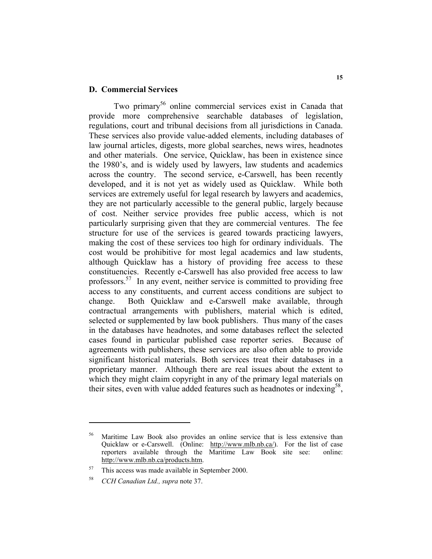#### **D. Commercial Services**

Two primary<sup>56</sup> online commercial services exist in Canada that provide more comprehensive searchable databases of legislation, regulations, court and tribunal decisions from all jurisdictions in Canada. These services also provide value-added elements, including databases of law journal articles, digests, more global searches, news wires, headnotes and other materials. One service, Quicklaw, has been in existence since the 1980's, and is widely used by lawyers, law students and academics across the country. The second service, e-Carswell, has been recently developed, and it is not yet as widely used as Quicklaw. While both services are extremely useful for legal research by lawyers and academics, they are not particularly accessible to the general public, largely because of cost. Neither service provides free public access, which is not particularly surprising given that they are commercial ventures. The fee structure for use of the services is geared towards practicing lawyers, making the cost of these services too high for ordinary individuals. The cost would be prohibitive for most legal academics and law students, although Quicklaw has a history of providing free access to these constituencies. Recently e-Carswell has also provided free access to law professors.<sup>57</sup> In any event, neither service is committed to providing free access to any constituents, and current access conditions are subject to change. Both Quicklaw and e-Carswell make available, through contractual arrangements with publishers, material which is edited, selected or supplemented by law book publishers. Thus many of the cases in the databases have headnotes, and some databases reflect the selected cases found in particular published case reporter series. Because of agreements with publishers, these services are also often able to provide significant historical materials. Both services treat their databases in a proprietary manner. Although there are real issues about the extent to which they might claim copyright in any of the primary legal materials on their sites, even with value added features such as headnotes or indexing<sup>58</sup>,

Maritime Law Book also provides an online service that is less extensive than Quicklaw or e-Carswell. (Online: http://www.mlb.nb.ca/). For the list of case reporters available through the Maritime Law Book site see: online: http://www.mlb.nb.ca/products.htm.

<sup>57</sup> This access was made available in September 2000.

<sup>58</sup> *CCH Canadian Ltd., supra* note 37.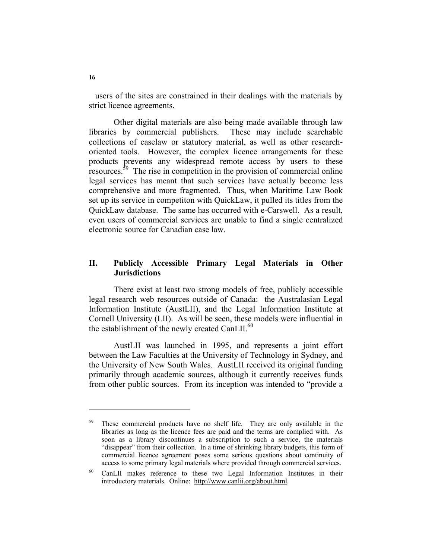users of the sites are constrained in their dealings with the materials by strict licence agreements.

 Other digital materials are also being made available through law libraries by commercial publishers. These may include searchable collections of caselaw or statutory material, as well as other researchoriented tools. However, the complex licence arrangements for these products prevents any widespread remote access by users to these resources.59 The rise in competition in the provision of commercial online legal services has meant that such services have actually become less comprehensive and more fragmented. Thus, when Maritime Law Book set up its service in competiton with QuickLaw, it pulled its titles from the QuickLaw database. The same has occurred with e-Carswell. As a result, even users of commercial services are unable to find a single centralized electronic source for Canadian case law.

# **II. Publicly Accessible Primary Legal Materials in Other Jurisdictions**

 There exist at least two strong models of free, publicly accessible legal research web resources outside of Canada: the Australasian Legal Information Institute (AustLII), and the Legal Information Institute at Cornell University (LII). As will be seen, these models were influential in the establishment of the newly created CanLII. $^{60}$ 

 AustLII was launched in 1995, and represents a joint effort between the Law Faculties at the University of Technology in Sydney, and the University of New South Wales. AustLII received its original funding primarily through academic sources, although it currently receives funds from other public sources. From its inception was intended to "provide a

<sup>&</sup>lt;sup>59</sup> These commercial products have no shelf life. They are only available in the libraries as long as the licence fees are paid and the terms are complied with. As soon as a library discontinues a subscription to such a service, the materials "disappear" from their collection. In a time of shrinking library budgets, this form of commercial licence agreement poses some serious questions about continuity of access to some primary legal materials where provided through commercial services.

<sup>60</sup> CanLII makes reference to these two Legal Information Institutes in their introductory materials. Online: http://www.canlii.org/about.html.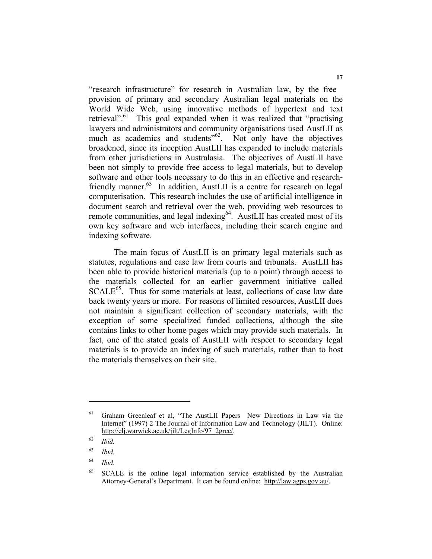"research infrastructure" for research in Australian law, by the free provision of primary and secondary Australian legal materials on the World Wide Web, using innovative methods of hypertext and text retrieval".<sup>61</sup> This goal expanded when it was realized that "practising" lawyers and administrators and community organisations used AustLII as much as academics and students<sup>"62</sup>. Not only have the objectives broadened, since its inception AustLII has expanded to include materials from other jurisdictions in Australasia. The objectives of AustLII have been not simply to provide free access to legal materials, but to develop software and other tools necessary to do this in an effective and researchfriendly manner.<sup>63</sup> In addition, AustLII is a centre for research on legal computerisation. This research includes the use of artificial intelligence in document search and retrieval over the web, providing web resources to remote communities, and legal indexing<sup>64</sup>. AustLII has created most of its own key software and web interfaces, including their search engine and indexing software.

 The main focus of AustLII is on primary legal materials such as statutes, regulations and case law from courts and tribunals. AustLII has been able to provide historical materials (up to a point) through access to the materials collected for an earlier government initiative called  $SCALE<sup>65</sup>$ . Thus for some materials at least, collections of case law date back twenty years or more. For reasons of limited resources, AustLII does not maintain a significant collection of secondary materials, with the exception of some specialized funded collections, although the site contains links to other home pages which may provide such materials. In fact, one of the stated goals of AustLII with respect to secondary legal materials is to provide an indexing of such materials, rather than to host the materials themselves on their site.

<sup>61</sup> Graham Greenleaf et al, "The AustLII Papers—New Directions in Law via the Internet" (1997) 2 The Journal of Information Law and Technology (JILT). Online: http://elj.warwick.ac.uk/jilt/LegInfo/97\_2gree/.

<sup>62</sup> *Ibid.*

<sup>63</sup> *Ibid.*

<sup>64</sup> *Ibid.*

<sup>&</sup>lt;sup>65</sup> SCALE is the online legal information service established by the Australian Attorney-General's Department. It can be found online: http://law.agps.gov.au/.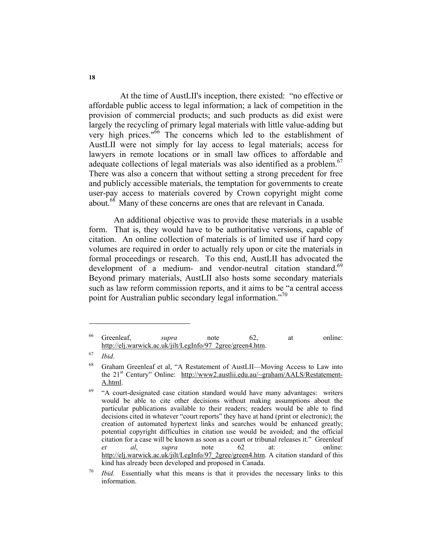At the time of AustLII's inception, there existed: "no effective or affordable public access to legal information; a lack of competition in the provision of commercial products; and such products as did exist were largely the recycling of primary legal materials with little value-adding but very high prices."<sup>66</sup> The concerns which led to the establishment of AustLII were not simply for lay access to legal materials; access for lawyers in remote locations or in small law offices to affordable and adequate collections of legal materials was also identified as a problem.<sup>67</sup> There was also a concern that without setting a strong precedent for free and publicly accessible materials, the temptation for governments to create user-pay access to materials covered by Crown copyright might come about.<sup>68</sup> Many of these concerns are ones that are relevant in Canada.

 An additional objective was to provide these materials in a usable form. That is, they would have to be authoritative versions, capable of citation. An online collection of materials is of limited use if hard copy volumes are required in order to actually rely upon or cite the materials in formal proceedings or research. To this end, AustLII has advocated the development of a medium- and vendor-neutral citation standard.<sup>69</sup> Beyond primary materials, AustLII also hosts some secondary materials such as law reform commission reports, and it aims to be "a central access point for Australian public secondary legal information."<sup>70</sup>

<sup>66</sup> Greenleaf, *supra* note 62, at online: http://elj.warwick.ac.uk/jilt/LegInfo/97\_2gree/green4.htm.

<sup>67</sup> *Ibid*.

<sup>68</sup> Graham Greenleaf et al, "A Restatement of AustLII—Moving Access to Law into the  $21<sup>st</sup>$  Century" Online: http://www2.austlii.edu.au/~graham/AALS/Restatement-A.html.

 $69$  "A court-designated case citation standard would have many advantages: writers would be able to cite other decisions without making assumptions about the particular publications available to their readers; readers would be able to find decisions cited in whatever "court reports" they have at hand (print or electronic); the creation of automated hypertext links and searches would be enhanced greatly; potential copyright difficulties in citation use would be avoided; and the official citation for a case will be known as soon as a court or tribunal releases it." Greenleaf *et al*, *supra* note 62 at: online: http://elj.warwick.ac.uk/jilt/LegInfo/97\_2gree/green4.htm. A citation standard of this kind has already been developed and proposed in Canada.

*Ibid.* Essentially what this means is that it provides the necessary links to this information.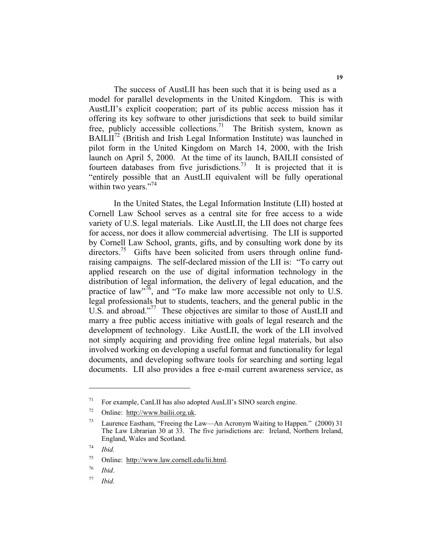The success of AustLII has been such that it is being used as a model for parallel developments in the United Kingdom. This is with AustLII's explicit cooperation; part of its public access mission has it offering its key software to other jurisdictions that seek to build similar free, publicly accessible collections.<sup>71</sup> The British system, known as  $BAILII<sup>72</sup>$  (British and Irish Legal Information Institute) was launched in pilot form in the United Kingdom on March 14, 2000, with the Irish launch on April 5, 2000. At the time of its launch, BAILII consisted of fourteen databases from five jurisdictions.<sup>73</sup> It is projected that it is "entirely possible that an AustLII equivalent will be fully operational within two years."<sup>74</sup>

 In the United States, the Legal Information Institute (LII) hosted at Cornell Law School serves as a central site for free access to a wide variety of U.S. legal materials. Like AustLII, the LII does not charge fees for access, nor does it allow commercial advertising. The LII is supported by Cornell Law School, grants, gifts, and by consulting work done by its directors.<sup>75</sup> Gifts have been solicited from users through online fundraising campaigns. The self-declared mission of the LII is: "To carry out applied research on the use of digital information technology in the distribution of legal information, the delivery of legal education, and the practice of law<sup>"76</sup>, and "To make law more accessible not only to U.S. legal professionals but to students, teachers, and the general public in the U.S. and abroad."<sup>77</sup> These objectives are similar to those of AustLII and marry a free public access initiative with goals of legal research and the development of technology. Like AustLII, the work of the LII involved not simply acquiring and providing free online legal materials, but also involved working on developing a useful format and functionality for legal documents, and developing software tools for searching and sorting legal documents. LII also provides a free e-mail current awareness service, as

<sup>71</sup> For example, CanLII has also adopted AusLII's SINO search engine.

<sup>72</sup> Online: http://www.bailii.org.uk.

<sup>&</sup>lt;sup>73</sup> Laurence Eastham, "Freeing the Law—An Acronym Waiting to Happen." (2000) 31 The Law Librarian 30 at 33. The five jurisdictions are: Ireland, Northern Ireland, England, Wales and Scotland.

<sup>74</sup> *Ibid.*

<sup>75</sup> Online: http://www.law.cornell.edu/lii.html.

<sup>76</sup> *Ibid*.

<sup>77</sup> *Ibid.*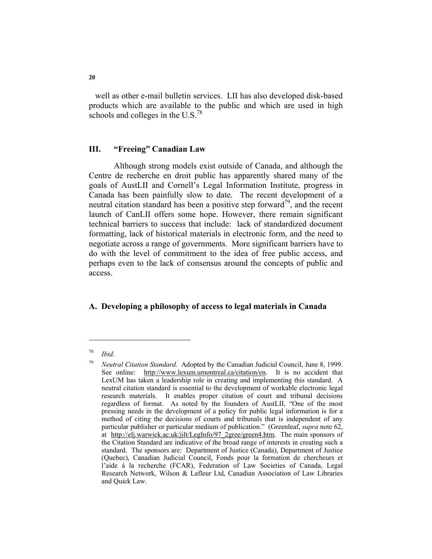well as other e-mail bulletin services. LII has also developed disk-based products which are available to the public and which are used in high schools and colleges in the U.S.<sup>78</sup>

#### **III. "Freeing" Canadian Law**

 Although strong models exist outside of Canada, and although the Centre de recherche en droit public has apparently shared many of the goals of AustLII and Cornell's Legal Information Institute, progress in Canada has been painfully slow to date. The recent development of a neutral citation standard has been a positive step forward<sup>79</sup>, and the recent launch of CanLII offers some hope. However, there remain significant technical barriers to success that include: lack of standardized document formatting, lack of historical materials in electronic form, and the need to negotiate across a range of governments. More significant barriers have to do with the level of commitment to the idea of free public access, and perhaps even to the lack of consensus around the concepts of public and access.

# **A. Developing a philosophy of access to legal materials in Canada**

<sup>78</sup> *Ibid.*

<sup>79</sup> *Neutral Citation Standard*. Adopted by the Canadian Judicial Council, June 8, 1999. See online: http://www.lexum.umontreal.ca/citation/en. It is no accident that LexUM has taken a leadership role in creating and implementing this standard. A neutral citation standard is essential to the development of workable electronic legal research materials. It enables proper citation of court and tribunal decisions regardless of format. As noted by the founders of AustLII, "One of the most pressing needs in the development of a policy for public legal information is for a method of citing the decisions of courts and tribunals that is independent of any particular publisher or particular medium of publication." (Greenleaf, *supra* note 62, at http://elj.warwick.ac.uk/jilt/LegInfo/97\_2gree/green4.htm. The main sponsors of the Citation Standard are indicative of the broad range of interests in creating such a standard. The sponsors are: Department of Justice (Canada), Department of Justice (Quebec), Canadian Judicial Council, Fonds pour la formation de chercheurs et l'aide à la recherche (FCAR), Federation of Law Societies of Canada, Legal Research Network, Wilson & Lafleur Ltd, Canadian Association of Law Libraries and Quick Law.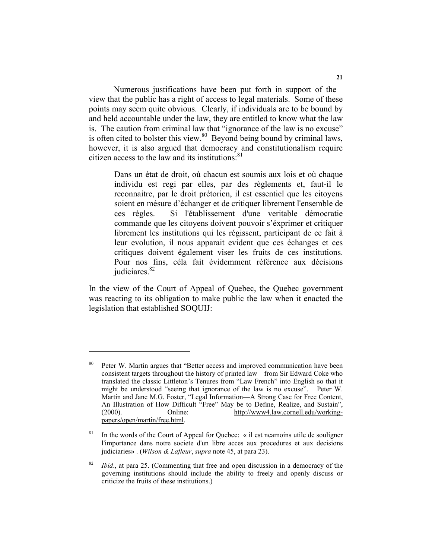Numerous justifications have been put forth in support of the view that the public has a right of access to legal materials. Some of these points may seem quite obvious. Clearly, if individuals are to be bound by and held accountable under the law, they are entitled to know what the law is. The caution from criminal law that "ignorance of the law is no excuse" is often cited to bolster this view. $80$  Beyond being bound by criminal laws, however, it is also argued that democracy and constitutionalism require citizen access to the law and its institutions: $81$ 

> Dans un état de droit, où chacun est soumis aux lois et où chaque individu est regi par elles, par des règlements et, faut-il le reconnaitre, par le droit prétorien, il est essentiel que les citoyens soient en mésure d'échanger et de critiquer librement l'ensemble de ces règles. Si l'établissement d'une veritable démocratie commande que les citoyens doivent pouvoir s'éxprimer et critiquer librement les institutions qui les régissent, participant de ce fait à leur evolution, il nous apparait evident que ces échanges et ces critiques doivent également viser les fruits de ces institutions. Pour nos fins, céla fait évidemment référence aux décisions judiciares.<sup>82</sup>

In the view of the Court of Appeal of Quebec, the Quebec government was reacting to its obligation to make public the law when it enacted the legislation that established SOQUIJ:

Peter W. Martin argues that "Better access and improved communication have been consistent targets throughout the history of printed law—from Sir Edward Coke who translated the classic Littleton's Tenures from "Law French" into English so that it might be understood "seeing that ignorance of the law is no excuse". Peter W. Martin and Jane M.G. Foster, "Legal Information—A Strong Case for Free Content, An Illustration of How Difficult "Free" May be to Define, Realize, and Sustain", (2000). Online: http://www4.law.cornell.edu/workingpapers/open/martin/free.html.

<sup>&</sup>lt;sup>81</sup> In the words of the Court of Appeal for Quebec: « il est neamoins utile de souligner l'importance dans notre societe d'un libre acces aux procedures et aux decisions judiciaries» . (*Wilson & Lafleur*, *supra* note 45, at para 23).

<sup>82</sup> *Ibid*., at para 25. (Commenting that free and open discussion in a democracy of the governing institutions should include the ability to freely and openly discuss or criticize the fruits of these institutions.)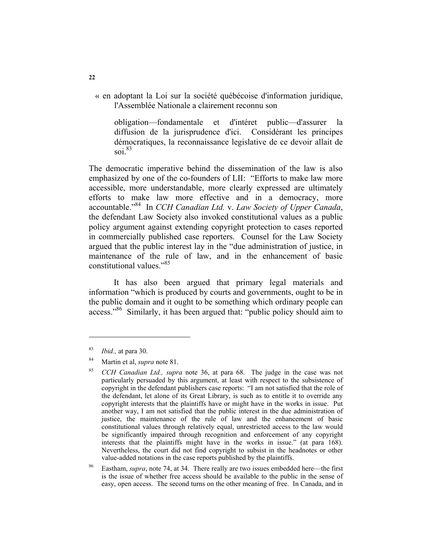« en adoptant la Loi sur la société québécoise d'information juridique, l'Assemblée Nationale a clairement reconnu son

obligation—fondamentale et d'intéret public—d'assurer la diffusion de la jurisprudence d'ici. Considérant les principes démocratiques, la reconnaissance legislative de ce devoir allait de soi. $83$ 

The democratic imperative behind the dissemination of the law is also emphasized by one of the co-founders of LII: "Efforts to make law more accessible, more understandable, more clearly expressed are ultimately efforts to make law more effective and in a democracy, more accountable."84 In *CCH Canadian Ltd.* v. *Law Society of Upper Canada*, the defendant Law Society also invoked constitutional values as a public policy argument against extending copyright protection to cases reported in commercially published case reporters. Counsel for the Law Society argued that the public interest lay in the "due administration of justice, in maintenance of the rule of law, and in the enhancement of basic constitutional values."85

 It has also been argued that primary legal materials and information "which is produced by courts and governments, ought to be in the public domain and it ought to be something which ordinary people can access."<sup>86</sup> Similarly, it has been argued that: "public policy should aim to

<sup>83</sup> *Ibid.,* at para 30.

<sup>84</sup> Martin et al, *supra* note 81.

<sup>85</sup> *CCH Canadian Ltd., supra* note 36, at para 68. The judge in the case was not particularly persuaded by this argument, at least with respect to the subsistence of copyright in the defendant publishers case reports: "I am not satisfied that the role of the defendant, let alone of its Great Library, is such as to entitle it to override any copyright interests that the plaintiffs have or might have in the works in issue. Put another way, I am not satisfied that the public interest in the due administration of justice, the maintenance of the rule of law and the enhancement of basic constitutional values through relatively equal, unrestricted access to the law would be significantly impaired through recognition and enforcement of any copyright interests that the plaintiffs might have in the works in issue." (at para 168). Nevertheless, the court did not find copyright to subsist in the headnotes or other value-added notations in the case reports published by the plaintiffs.

<sup>86</sup> Eastham, *supra*, note 74, at 34. There really are two issues embedded here—the first is the issue of whether free access should be available to the public in the sense of easy, open access. The second turns on the other meaning of free. In Canada, and in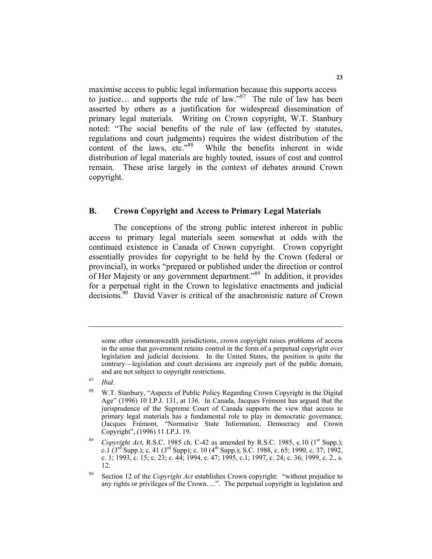maximise access to public legal information because this supports access to justice… and supports the rule of law."<sup>87</sup> The rule of law has been asserted by others as a justification for widespread dissemination of primary legal materials. Writing on Crown copyright, W.T. Stanbury noted: "The social benefits of the rule of law (effected by statutes, regulations and court judgments) requires the widest distribution of the content of the laws, etc."<sup>88</sup> While the benefits inherent in wide While the benefits inherent in wide distribution of legal materials are highly touted, issues of cost and control remain. These arise largely in the context of debates around Crown copyright.

## **B. Crown Copyright and Access to Primary Legal Materials**

 The conceptions of the strong public interest inherent in public access to primary legal materials seem somewhat at odds with the continued existence in Canada of Crown copyright. Crown copyright essentially provides for copyright to be held by the Crown (federal or provincial), in works "prepared or published under the direction or control of Her Majesty or any government department."89 In addition, it provides for a perpetual right in the Crown to legislative enactments and judicial decisions.<sup>90</sup> David Vaver is critical of the anachronistic nature of Crown

some other commonwealth jurisdictions, crown copyright raises problems of access in the sense that government retains control in the form of a perpetual copyright over legislation and judicial decisions. In the United States, the position is quite the contrary—legislation and court decisions are expressly part of the public domain, and are not subject to copyright restrictions.

<sup>87</sup> *Ibid.* 

<sup>88</sup> W.T. Stanbury, "Aspects of Public Policy Regarding Crown Copyright in the Digital Age" (1996) 10 I.P.J. 131, at 136. In Canada, Jacques Frémont has argued that the jurisprudence of the Supreme Court of Canada supports the view that access to primary legal materials has a fundamental role to play in democratic governance. (Jacques Frémont, "Normative State Information, Democracy and Crown Copyright", (1996) 11 I.P.J. 19.

Copyright Act, R.S.C. 1985 ch. C-42 as amended by R.S.C. 1985, c.10  $(1<sup>st</sup> Supp.);$ c.1 (3<sup>rd</sup> Supp.); c. 41 (3<sup>rd</sup> Supp); c. 10 (4<sup>th</sup> Supp.); S.C. 1988, c. 65; 1990, c. 37; 1992, c. 1; 1993, c. 15; c. 23; c. 44; 1994, c. 47; 1995, c.1; 1997, c. 24; c. 36; 1999, c. 2., s. 12.

<sup>90</sup> Section 12 of the *Copyright Act* establishes Crown copyright: "without prejudice to any rights or privileges of the Crown….". The perpetual copyright in legislation and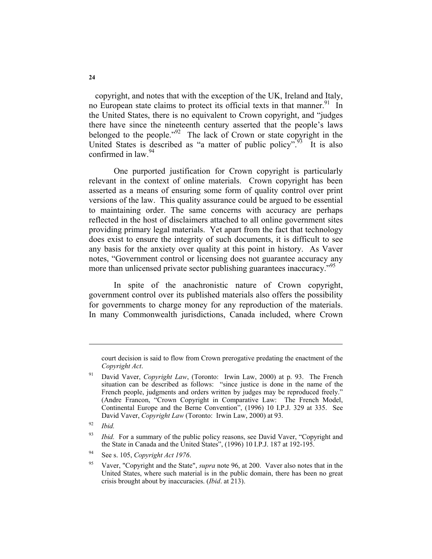copyright, and notes that with the exception of the UK, Ireland and Italy, no European state claims to protect its official texts in that manner.<sup>91</sup> In the United States, there is no equivalent to Crown copyright, and "judges there have since the nineteenth century asserted that the people's laws belonged to the people."<sup>92</sup> The lack of Crown or state copyright in the United States is described as "a matter of public policy".<sup>93</sup> It is also confirmed in law.<sup>94</sup>

 One purported justification for Crown copyright is particularly relevant in the context of online materials. Crown copyright has been asserted as a means of ensuring some form of quality control over print versions of the law. This quality assurance could be argued to be essential to maintaining order. The same concerns with accuracy are perhaps reflected in the host of disclaimers attached to all online government sites providing primary legal materials. Yet apart from the fact that technology does exist to ensure the integrity of such documents, it is difficult to see any basis for the anxiety over quality at this point in history. As Vaver notes, "Government control or licensing does not guarantee accuracy any more than unlicensed private sector publishing guarantees inaccuracy.<sup>95</sup>

 In spite of the anachronistic nature of Crown copyright, government control over its published materials also offers the possibility for governments to charge money for any reproduction of the materials. In many Commonwealth jurisdictions, Canada included, where Crown

court decision is said to flow from Crown prerogative predating the enactment of the *Copyright Act*.

<sup>&</sup>lt;sup>91</sup> David Vaver, *Copyright Law*, (Toronto: Irwin Law, 2000) at p. 93. The French situation can be described as follows: "since justice is done in the name of the French people, judgments and orders written by judges may be reproduced freely." (Andre Francon, "Crown Copyright in Comparative Law: The French Model, Continental Europe and the Berne Convention", (1996) 10 I.P.J. 329 at 335. See David Vaver, *Copyright Law* (Toronto: Irwin Law, 2000) at 93.

<sup>92</sup> *Ibid.*

<sup>&</sup>lt;sup>93</sup> *Ibid.* For a summary of the public policy reasons, see David Vaver, "Copyright and the State in Canada and the United States", (1996) 10 I.P.J. 187 at 192-195.

<sup>94</sup> See s. 105, *Copyright Act 1976*.

<sup>95</sup> Vaver, "Copyright and the State", *supra* note 96, at 200. Vaver also notes that in the United States, where such material is in the public domain, there has been no great crisis brought about by inaccuracies. (*Ibid*. at 213).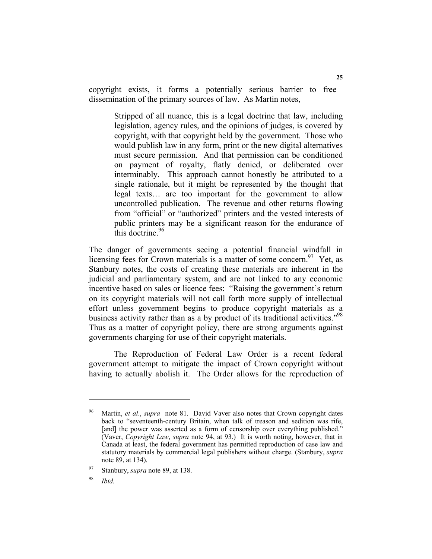copyright exists, it forms a potentially serious barrier to free dissemination of the primary sources of law. As Martin notes,

Stripped of all nuance, this is a legal doctrine that law, including legislation, agency rules, and the opinions of judges, is covered by copyright, with that copyright held by the government. Those who would publish law in any form, print or the new digital alternatives must secure permission. And that permission can be conditioned on payment of royalty, flatly denied, or deliberated over interminably. This approach cannot honestly be attributed to a single rationale, but it might be represented by the thought that legal texts… are too important for the government to allow uncontrolled publication. The revenue and other returns flowing from "official" or "authorized" printers and the vested interests of public printers may be a significant reason for the endurance of this doctrine.  $96$ 

The danger of governments seeing a potential financial windfall in licensing fees for Crown materials is a matter of some concern.<sup>97</sup> Yet, as Stanbury notes, the costs of creating these materials are inherent in the judicial and parliamentary system, and are not linked to any economic incentive based on sales or licence fees: "Raising the government's return on its copyright materials will not call forth more supply of intellectual effort unless government begins to produce copyright materials as a business activity rather than as a by product of its traditional activities."<sup>98</sup> Thus as a matter of copyright policy, there are strong arguments against governments charging for use of their copyright materials.

 The Reproduction of Federal Law Order is a recent federal government attempt to mitigate the impact of Crown copyright without having to actually abolish it. The Order allows for the reproduction of

<sup>96</sup> Martin, *et al*., *supra* note 81. David Vaver also notes that Crown copyright dates back to "seventeenth-century Britain, when talk of treason and sedition was rife, [and] the power was asserted as a form of censorship over everything published." (Vaver, *Copyright Law*, *supra* note 94, at 93.) It is worth noting, however, that in Canada at least, the federal government has permitted reproduction of case law and statutory materials by commercial legal publishers without charge. (Stanbury, *supra* note 89, at 134).

Stanbury, *supra* note 89, at 138.

<sup>98</sup> *Ibid.*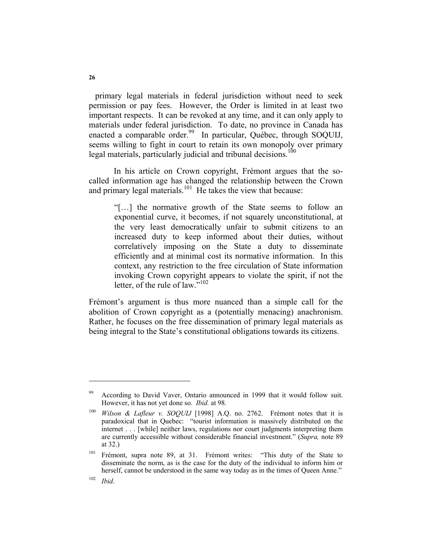primary legal materials in federal jurisdiction without need to seek permission or pay fees. However, the Order is limited in at least two important respects. It can be revoked at any time, and it can only apply to materials under federal jurisdiction. To date, no province in Canada has enacted a comparable order.<sup>99</sup> In particular, Québec, through SOQUIJ, seems willing to fight in court to retain its own monopoly over primary legal materials, particularly judicial and tribunal decisions.<sup>100</sup>

 In his article on Crown copyright, Frémont argues that the socalled information age has changed the relationship between the Crown and primary legal materials.<sup>101</sup> He takes the view that because:

"[…] the normative growth of the State seems to follow an exponential curve, it becomes, if not squarely unconstitutional, at the very least democratically unfair to submit citizens to an increased duty to keep informed about their duties, without correlatively imposing on the State a duty to disseminate efficiently and at minimal cost its normative information. In this context, any restriction to the free circulation of State information invoking Crown copyright appears to violate the spirit, if not the letter, of the rule of law.<sup>5,102</sup>

Frémont's argument is thus more nuanced than a simple call for the abolition of Crown copyright as a (potentially menacing) anachronism. Rather, he focuses on the free dissemination of primary legal materials as being integral to the State's constitutional obligations towards its citizens.

According to David Vaver, Ontario announced in 1999 that it would follow suit. However, it has not yet done so. *Ibid.* at 98*.*

<sup>100</sup> *Wilson & Lafleur v. SOQUIJ* [1998] A.Q. no. 2762. Frémont notes that it is paradoxical that in Quebec: "tourist information is massively distributed on the internet . . . [while] neither laws, regulations nor court judgments interpreting them are currently accessible without considerable financial investment." (*Supra,* note 89 at 32.)

<sup>&</sup>lt;sup>101</sup> Frémont, supra note 89, at 31. Frémont writes: "This duty of the State to disseminate the norm, as is the case for the duty of the individual to inform him or herself, cannot be understood in the same way today as in the times of Queen Anne."

<sup>102</sup> *Ibid*.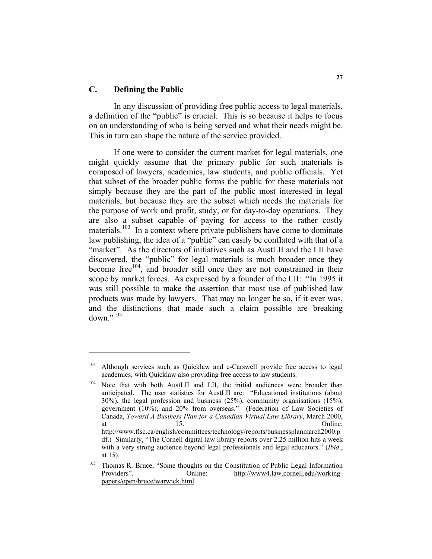# **C. Defining the Public**

 In any discussion of providing free public access to legal materials, a definition of the "public" is crucial. This is so because it helps to focus on an understanding of who is being served and what their needs might be. This in turn can shape the nature of the service provided.

 If one were to consider the current market for legal materials, one might quickly assume that the primary public for such materials is composed of lawyers, academics, law students, and public officials. Yet that subset of the broader public forms the public for these materials not simply because they are the part of the public most interested in legal materials, but because they are the subset which needs the materials for the purpose of work and profit, study, or for day-to-day operations. They are also a subset capable of paying for access to the rather costly materials.<sup>103</sup> In a context where private publishers have come to dominate law publishing, the idea of a "public" can easily be conflated with that of a "market". As the directors of initiatives such as AustLII and the LII have discovered, the "public" for legal materials is much broader once they become free<sup>104</sup>, and broader still once they are not constrained in their scope by market forces. As expressed by a founder of the LII: "In 1995 it was still possible to make the assertion that most use of published law products was made by lawyers. That may no longer be so, if it ever was, and the distinctions that made such a claim possible are breaking down."<sup>105</sup>

<sup>&</sup>lt;sup>103</sup> Although services such as Quicklaw and e-Carswell provide free access to legal academics, with Quicklaw also providing free access to law students.

<sup>&</sup>lt;sup>104</sup> Note that with both AustLII and LII, the initial audiences were broader than anticipated. The user statistics for AustLII are: "Educational institutions (about 30%), the legal profession and business (25%), community organisations (15%), government (10%), and 20% from overseas." (Federation of Law Societies of Canada, *Toward A Business Plan for a Canadian Virtual Law Library*, March 2000, at 15. http://www.flsc.ca/english/committees/technology/reports/businessplanmarch2000.p df.) Similarly, "The Cornell digital law library reports over 2.25 million hits a week with a very strong audience beyond legal professionals and legal educators." (*Ibid*., at 15).

<sup>&</sup>lt;sup>105</sup> Thomas R. Bruce, "Some thoughts on the Constitution of Public Legal Information Providers". Online: http://www4.law.cornell.edu/workingpapers/open/bruce/warwick.html.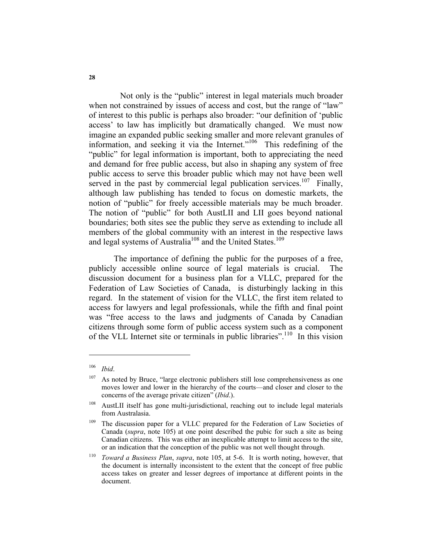Not only is the "public" interest in legal materials much broader when not constrained by issues of access and cost, but the range of "law" of interest to this public is perhaps also broader: "our definition of 'public access' to law has implicitly but dramatically changed. We must now imagine an expanded public seeking smaller and more relevant granules of information, and seeking it via the Internet."106 This redefining of the "public" for legal information is important, both to appreciating the need and demand for free public access, but also in shaping any system of free public access to serve this broader public which may not have been well served in the past by commercial legal publication services.<sup>107</sup> Finally, although law publishing has tended to focus on domestic markets, the notion of "public" for freely accessible materials may be much broader. The notion of "public" for both AustLII and LII goes beyond national boundaries; both sites see the public they serve as extending to include all members of the global community with an interest in the respective laws and legal systems of Australia<sup>108</sup> and the United States.<sup>109</sup>

 The importance of defining the public for the purposes of a free, publicly accessible online source of legal materials is crucial. The discussion document for a business plan for a VLLC, prepared for the Federation of Law Societies of Canada, is disturbingly lacking in this regard. In the statement of vision for the VLLC, the first item related to access for lawyers and legal professionals, while the fifth and final point was "free access to the laws and judgments of Canada by Canadian citizens through some form of public access system such as a component of the VLL Internet site or terminals in public libraries".110 In this vision

<sup>106</sup> *Ibid*.

 $107$  As noted by Bruce, "large electronic publishers still lose comprehensiveness as one moves lower and lower in the hierarchy of the courts—and closer and closer to the concerns of the average private citizen" (*Ibid*.).

<sup>&</sup>lt;sup>108</sup> AustLII itself has gone multi-jurisdictional, reaching out to include legal materials from Australasia.

<sup>&</sup>lt;sup>109</sup> The discussion paper for a VLLC prepared for the Federation of Law Societies of Canada (*supra*, note 105) at one point described the pubic for such a site as being Canadian citizens. This was either an inexplicable attempt to limit access to the site, or an indication that the conception of the public was not well thought through.

<sup>110</sup> *Toward a Business Plan*, *supra*, note 105, at 5-6. It is worth noting, however, that the document is internally inconsistent to the extent that the concept of free public access takes on greater and lesser degrees of importance at different points in the document.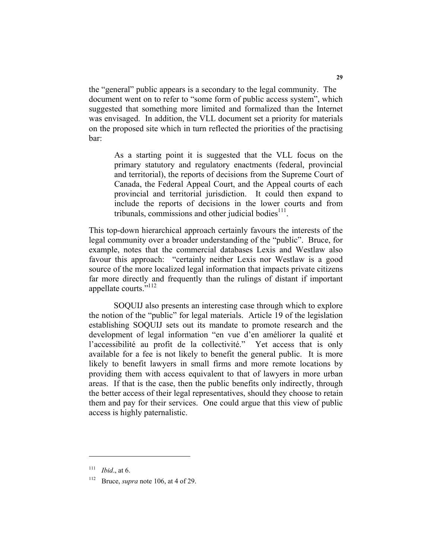the "general" public appears is a secondary to the legal community. The document went on to refer to "some form of public access system", which suggested that something more limited and formalized than the Internet was envisaged. In addition, the VLL document set a priority for materials on the proposed site which in turn reflected the priorities of the practising bar:

As a starting point it is suggested that the VLL focus on the primary statutory and regulatory enactments (federal, provincial and territorial), the reports of decisions from the Supreme Court of Canada, the Federal Appeal Court, and the Appeal courts of each provincial and territorial jurisdiction. It could then expand to include the reports of decisions in the lower courts and from tribunals, commissions and other judicial bodies $11$ .

This top-down hierarchical approach certainly favours the interests of the legal community over a broader understanding of the "public". Bruce, for example, notes that the commercial databases Lexis and Westlaw also favour this approach: "certainly neither Lexis nor Westlaw is a good source of the more localized legal information that impacts private citizens far more directly and frequently than the rulings of distant if important appellate courts."<sup>112</sup>

 SOQUIJ also presents an interesting case through which to explore the notion of the "public" for legal materials. Article 19 of the legislation establishing SOQUIJ sets out its mandate to promote research and the development of legal information "en vue d'en améliorer la qualité et l'accessibilité au profit de la collectivité." Yet access that is only available for a fee is not likely to benefit the general public. It is more likely to benefit lawyers in small firms and more remote locations by providing them with access equivalent to that of lawyers in more urban areas. If that is the case, then the public benefits only indirectly, through the better access of their legal representatives, should they choose to retain them and pay for their services. One could argue that this view of public access is highly paternalistic.

<sup>111</sup> *Ibid*., at 6.

<sup>112</sup> Bruce, *supra* note 106, at 4 of 29.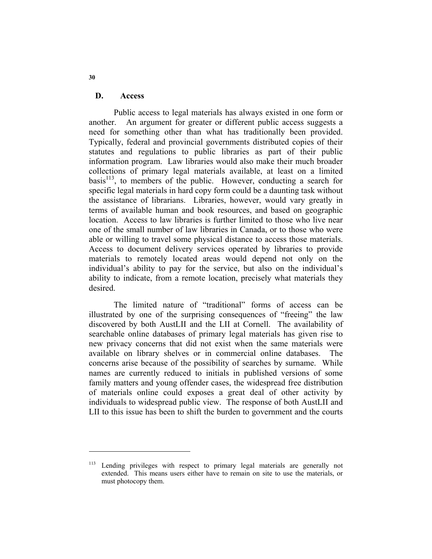#### **D. Access**

 Public access to legal materials has always existed in one form or another. An argument for greater or different public access suggests a need for something other than what has traditionally been provided. Typically, federal and provincial governments distributed copies of their statutes and regulations to public libraries as part of their public information program. Law libraries would also make their much broader collections of primary legal materials available, at least on a limited  $basis$ <sup>113</sup>, to members of the public. However, conducting a search for specific legal materials in hard copy form could be a daunting task without the assistance of librarians. Libraries, however, would vary greatly in terms of available human and book resources, and based on geographic location. Access to law libraries is further limited to those who live near one of the small number of law libraries in Canada, or to those who were able or willing to travel some physical distance to access those materials. Access to document delivery services operated by libraries to provide materials to remotely located areas would depend not only on the individual's ability to pay for the service, but also on the individual's ability to indicate, from a remote location, precisely what materials they desired.

 The limited nature of "traditional" forms of access can be illustrated by one of the surprising consequences of "freeing" the law discovered by both AustLII and the LII at Cornell. The availability of searchable online databases of primary legal materials has given rise to new privacy concerns that did not exist when the same materials were available on library shelves or in commercial online databases. The concerns arise because of the possibility of searches by surname. While names are currently reduced to initials in published versions of some family matters and young offender cases, the widespread free distribution of materials online could exposes a great deal of other activity by individuals to widespread public view. The response of both AustLII and LII to this issue has been to shift the burden to government and the courts

**30** 

<sup>&</sup>lt;sup>113</sup> Lending privileges with respect to primary legal materials are generally not extended. This means users either have to remain on site to use the materials, or must photocopy them.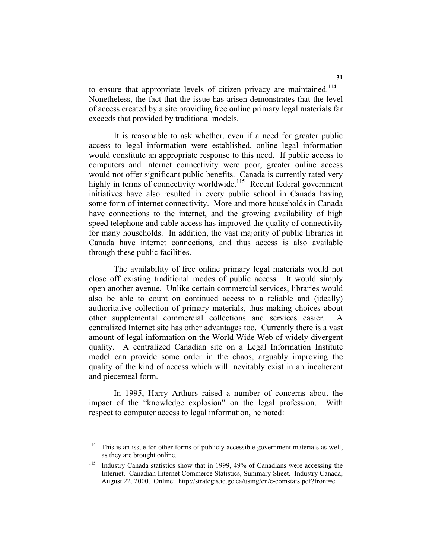to ensure that appropriate levels of citizen privacy are maintained.<sup>114</sup> Nonetheless, the fact that the issue has arisen demonstrates that the level of access created by a site providing free online primary legal materials far exceeds that provided by traditional models.

 It is reasonable to ask whether, even if a need for greater public access to legal information were established, online legal information would constitute an appropriate response to this need. If public access to computers and internet connectivity were poor, greater online access would not offer significant public benefits. Canada is currently rated very highly in terms of connectivity worldwide.<sup>115</sup> Recent federal government initiatives have also resulted in every public school in Canada having some form of internet connectivity. More and more households in Canada have connections to the internet, and the growing availability of high speed telephone and cable access has improved the quality of connectivity for many households. In addition, the vast majority of public libraries in Canada have internet connections, and thus access is also available through these public facilities.

 The availability of free online primary legal materials would not close off existing traditional modes of public access. It would simply open another avenue. Unlike certain commercial services, libraries would also be able to count on continued access to a reliable and (ideally) authoritative collection of primary materials, thus making choices about other supplemental commercial collections and services easier. A centralized Internet site has other advantages too. Currently there is a vast amount of legal information on the World Wide Web of widely divergent quality. A centralized Canadian site on a Legal Information Institute model can provide some order in the chaos, arguably improving the quality of the kind of access which will inevitably exist in an incoherent and piecemeal form.

 In 1995, Harry Arthurs raised a number of concerns about the impact of the "knowledge explosion" on the legal profession. With respect to computer access to legal information, he noted:

<sup>&</sup>lt;sup>114</sup> This is an issue for other forms of publicly accessible government materials as well, as they are brought online.

<sup>&</sup>lt;sup>115</sup> Industry Canada statistics show that in 1999, 49% of Canadians were accessing the Internet. Canadian Internet Commerce Statistics, Summary Sheet. Industry Canada, August 22, 2000. Online: http://strategis.ic.gc.ca/using/en/e-comstats.pdf?front=e.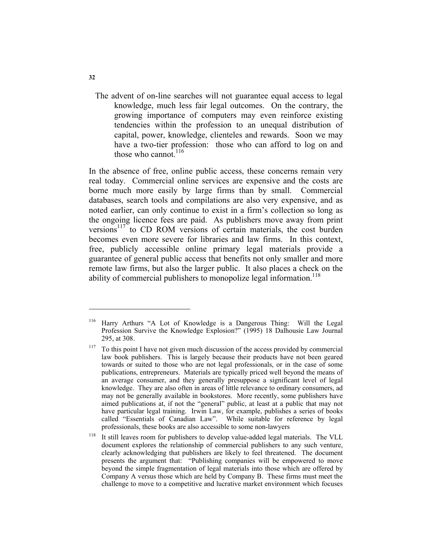The advent of on-line searches will not guarantee equal access to legal knowledge, much less fair legal outcomes. On the contrary, the growing importance of computers may even reinforce existing tendencies within the profession to an unequal distribution of capital, power, knowledge, clienteles and rewards. Soon we may have a two-tier profession: those who can afford to log on and those who cannot. $116$ 

In the absence of free, online public access, these concerns remain very real today. Commercial online services are expensive and the costs are borne much more easily by large firms than by small. Commercial databases, search tools and compilations are also very expensive, and as noted earlier, can only continue to exist in a firm's collection so long as the ongoing licence fees are paid. As publishers move away from print versions<sup>117</sup> to CD ROM versions of certain materials, the cost burden becomes even more severe for libraries and law firms. In this context, free, publicly accessible online primary legal materials provide a guarantee of general public access that benefits not only smaller and more remote law firms, but also the larger public. It also places a check on the ability of commercial publishers to monopolize legal information.<sup>118</sup>

<sup>116</sup> Harry Arthurs "A Lot of Knowledge is a Dangerous Thing: Will the Legal Profession Survive the Knowledge Explosion?" (1995) 18 Dalhousie Law Journal 295, at 308.

 $117$  To this point I have not given much discussion of the access provided by commercial law book publishers. This is largely because their products have not been geared towards or suited to those who are not legal professionals, or in the case of some publications, entrepreneurs. Materials are typically priced well beyond the means of an average consumer, and they generally presuppose a significant level of legal knowledge. They are also often in areas of little relevance to ordinary consumers, ad may not be generally available in bookstores. More recently, some publishers have aimed publications at, if not the "general" public, at least at a public that may not have particular legal training. Irwin Law, for example, publishes a series of books called "Essentials of Canadian Law". While suitable for reference by legal professionals, these books are also accessible to some non-lawyers

 $118$  It still leaves room for publishers to develop value-added legal materials. The VLL document explores the relationship of commercial publishers to any such venture, clearly acknowledging that publishers are likely to feel threatened. The document presents the argument that: "Publishing companies will be empowered to move beyond the simple fragmentation of legal materials into those which are offered by Company A versus those which are held by Company B. These firms must meet the challenge to move to a competitive and lucrative market environment which focuses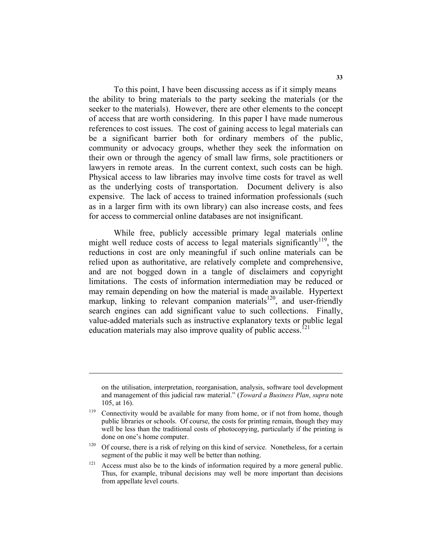To this point, I have been discussing access as if it simply means the ability to bring materials to the party seeking the materials (or the seeker to the materials). However, there are other elements to the concept of access that are worth considering. In this paper I have made numerous references to cost issues. The cost of gaining access to legal materials can be a significant barrier both for ordinary members of the public, community or advocacy groups, whether they seek the information on their own or through the agency of small law firms, sole practitioners or lawyers in remote areas. In the current context, such costs can be high. Physical access to law libraries may involve time costs for travel as well as the underlying costs of transportation. Document delivery is also expensive. The lack of access to trained information professionals (such as in a larger firm with its own library) can also increase costs, and fees for access to commercial online databases are not insignificant.

 While free, publicly accessible primary legal materials online might well reduce costs of access to legal materials significantly<sup>119</sup>, the reductions in cost are only meaningful if such online materials can be relied upon as authoritative, are relatively complete and comprehensive, and are not bogged down in a tangle of disclaimers and copyright limitations. The costs of information intermediation may be reduced or may remain depending on how the material is made available. Hypertext markup, linking to relevant companion materials<sup>120</sup>, and user-friendly search engines can add significant value to such collections. Finally, value-added materials such as instructive explanatory texts or public legal education materials may also improve quality of public access.<sup>121</sup>

on the utilisation, interpretation, reorganisation, analysis, software tool development and management of this judicial raw material." (*Toward a Business Plan*, *supra* note 105, at 16).

<sup>&</sup>lt;sup>119</sup> Connectivity would be available for many from home, or if not from home, though public libraries or schools. Of course, the costs for printing remain, though they may well be less than the traditional costs of photocopying, particularly if the printing is done on one's home computer.

 $120$  Of course, there is a risk of relying on this kind of service. Nonetheless, for a certain segment of the public it may well be better than nothing.

 $121$  Access must also be to the kinds of information required by a more general public. Thus, for example, tribunal decisions may well be more important than decisions from appellate level courts.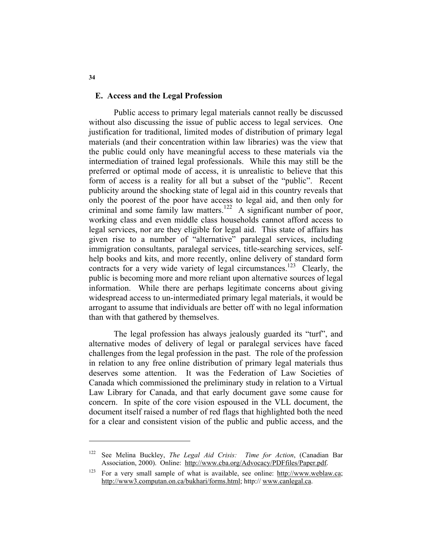#### **E. Access and the Legal Profession**

 Public access to primary legal materials cannot really be discussed without also discussing the issue of public access to legal services. One justification for traditional, limited modes of distribution of primary legal materials (and their concentration within law libraries) was the view that the public could only have meaningful access to these materials via the intermediation of trained legal professionals. While this may still be the preferred or optimal mode of access, it is unrealistic to believe that this form of access is a reality for all but a subset of the "public". Recent publicity around the shocking state of legal aid in this country reveals that only the poorest of the poor have access to legal aid, and then only for criminal and some family law matters.<sup>122</sup> A significant number of poor, working class and even middle class households cannot afford access to legal services, nor are they eligible for legal aid. This state of affairs has given rise to a number of "alternative" paralegal services, including immigration consultants, paralegal services, title-searching services, selfhelp books and kits, and more recently, online delivery of standard form contracts for a very wide variety of legal circumstances.<sup>123</sup> Clearly, the public is becoming more and more reliant upon alternative sources of legal information. While there are perhaps legitimate concerns about giving widespread access to un-intermediated primary legal materials, it would be arrogant to assume that individuals are better off with no legal information than with that gathered by themselves.

 The legal profession has always jealously guarded its "turf", and alternative modes of delivery of legal or paralegal services have faced challenges from the legal profession in the past. The role of the profession in relation to any free online distribution of primary legal materials thus deserves some attention. It was the Federation of Law Societies of Canada which commissioned the preliminary study in relation to a Virtual Law Library for Canada, and that early document gave some cause for concern. In spite of the core vision espoused in the VLL document, the document itself raised a number of red flags that highlighted both the need for a clear and consistent vision of the public and public access, and the

**34** 

See Melina Buckley, *The Legal Aid Crisis: Time for Action*, (Canadian Bar Association, 2000). Online: http://www.cba.org/Advocacy/PDFfiles/Paper.pdf.

<sup>123</sup> For a very small sample of what is available, see online: http://www.weblaw.ca; http://www3.computan.on.ca/bukhari/forms.html; http:// www.canlegal.ca.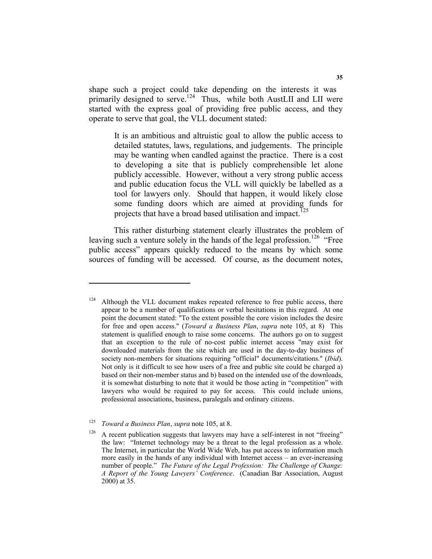shape such a project could take depending on the interests it was primarily designed to serve.<sup>124</sup> Thus, while both AustLII and LII were started with the express goal of providing free public access, and they operate to serve that goal, the VLL document stated:

It is an ambitious and altruistic goal to allow the public access to detailed statutes, laws, regulations, and judgements. The principle may be wanting when candled against the practice. There is a cost to developing a site that is publicly comprehensible let alone publicly accessible. However, without a very strong public access and public education focus the VLL will quickly be labelled as a tool for lawyers only. Should that happen, it would likely close some funding doors which are aimed at providing funds for projects that have a broad based utilisation and impact.<sup>125</sup>

 This rather disturbing statement clearly illustrates the problem of leaving such a venture solely in the hands of the legal profession.<sup>126</sup> "Free public access" appears quickly reduced to the means by which some sources of funding will be accessed. Of course, as the document notes,

 $124$  Although the VLL document makes repeated reference to free public access, there appear to be a number of qualifications or verbal hesitations in this regard. At one point the document stated: "To the extent possible the core vision includes the desire for free and open access." (*Toward a Business Plan*, *supra* note 105, at 8) This statement is qualified enough to raise some concerns. The authors go on to suggest that an exception to the rule of no-cost public internet access "may exist for downloaded materials from the site which are used in the day-to-day business of society non-members for situations requiring "official" documents/citations." (*Ibid*). Not only is it difficult to see how users of a free and public site could be charged a) based on their non-member status and b) based on the intended use of the downloads, it is somewhat disturbing to note that it would be those acting in "competition" with lawyers who would be required to pay for access. This could include unions, professional associations, business, paralegals and ordinary citizens.

<sup>125</sup> *Toward a Business Plan*, *supra* note 105, at 8.

 $126$  A recent publication suggests that lawyers may have a self-interest in not "freeing" the law: "Internet technology may be a threat to the legal profession as a whole. The Internet, in particular the World Wide Web, has put access to information much more easily in the hands of any individual with Internet access – an ever-increasing number of people." *The Future of the Legal Profession: The Challenge of Change: A Report of the Young Lawyers' Conference*. (Canadian Bar Association, August 2000) at 35.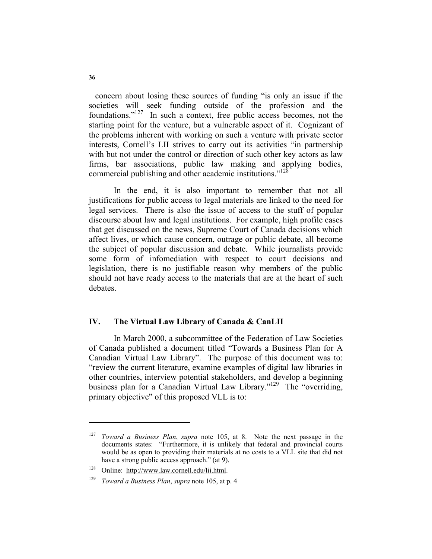concern about losing these sources of funding "is only an issue if the societies will seek funding outside of the profession and the foundations."127 In such a context, free public access becomes, not the starting point for the venture, but a vulnerable aspect of it. Cognizant of the problems inherent with working on such a venture with private sector interests, Cornell's LII strives to carry out its activities "in partnership with but not under the control or direction of such other key actors as law firms, bar associations, public law making and applying bodies, commercial publishing and other academic institutions."<sup>128</sup>

In the end, it is also important to remember that not all justifications for public access to legal materials are linked to the need for legal services. There is also the issue of access to the stuff of popular discourse about law and legal institutions. For example, high profile cases that get discussed on the news, Supreme Court of Canada decisions which affect lives, or which cause concern, outrage or public debate, all become the subject of popular discussion and debate. While journalists provide some form of infomediation with respect to court decisions and legislation, there is no justifiable reason why members of the public should not have ready access to the materials that are at the heart of such debates.

## **IV. The Virtual Law Library of Canada & CanLII**

 In March 2000, a subcommittee of the Federation of Law Societies of Canada published a document titled "Towards a Business Plan for A Canadian Virtual Law Library". The purpose of this document was to: "review the current literature, examine examples of digital law libraries in other countries, interview potential stakeholders, and develop a beginning business plan for a Canadian Virtual Law Library."<sup>129</sup> The "overriding, primary objective" of this proposed VLL is to:

<sup>127</sup> *Toward a Business Plan*, *supra* note 105, at 8. Note the next passage in the documents states: "Furthermore, it is unlikely that federal and provincial courts would be as open to providing their materials at no costs to a VLL site that did not have a strong public access approach." (at 9).

<sup>128</sup> Online: http://www.law.cornell.edu/lii.html.

<sup>129</sup> *Toward a Business Plan*, *supra* note 105, at p. 4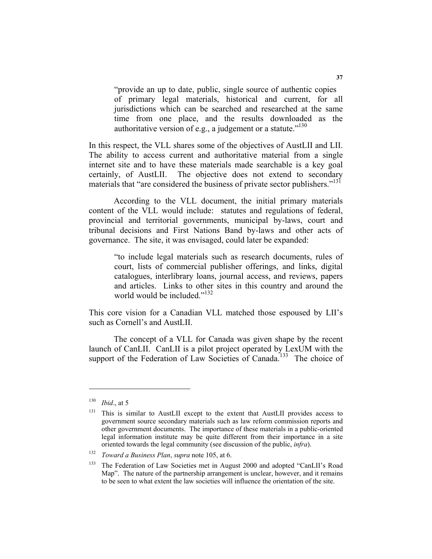"provide an up to date, public, single source of authentic copies of primary legal materials, historical and current, for all jurisdictions which can be searched and researched at the same time from one place, and the results downloaded as the authoritative version of e.g., a judgement or a statute." $130$ 

In this respect, the VLL shares some of the objectives of AustLII and LII. The ability to access current and authoritative material from a single internet site and to have these materials made searchable is a key goal certainly, of AustLII. The objective does not extend to secondary materials that "are considered the business of private sector publishers."<sup>131</sup>

 According to the VLL document, the initial primary materials content of the VLL would include: statutes and regulations of federal, provincial and territorial governments, municipal by-laws, court and tribunal decisions and First Nations Band by-laws and other acts of governance. The site, it was envisaged, could later be expanded:

"to include legal materials such as research documents, rules of court, lists of commercial publisher offerings, and links, digital catalogues, interlibrary loans, journal access, and reviews, papers and articles. Links to other sites in this country and around the world would be included."<sup>132</sup>

This core vision for a Canadian VLL matched those espoused by LII's such as Cornell's and AustLII.

 The concept of a VLL for Canada was given shape by the recent launch of CanLII. CanLII is a pilot project operated by LexUM with the support of the Federation of Law Societies of Canada.<sup>133</sup> The choice of

<sup>130</sup> *Ibid*., at 5

<sup>&</sup>lt;sup>131</sup> This is similar to AustLII except to the extent that AustLII provides access to government source secondary materials such as law reform commission reports and other government documents. The importance of these materials in a public-oriented legal information institute may be quite different from their importance in a site oriented towards the legal community (see discussion of the public, *infra*).

<sup>132</sup> *Toward a Business Plan*, *supra* note 105, at 6.

<sup>&</sup>lt;sup>133</sup> The Federation of Law Societies met in August 2000 and adopted "CanLII's Road Map". The nature of the partnership arrangement is unclear, however, and it remains to be seen to what extent the law societies will influence the orientation of the site.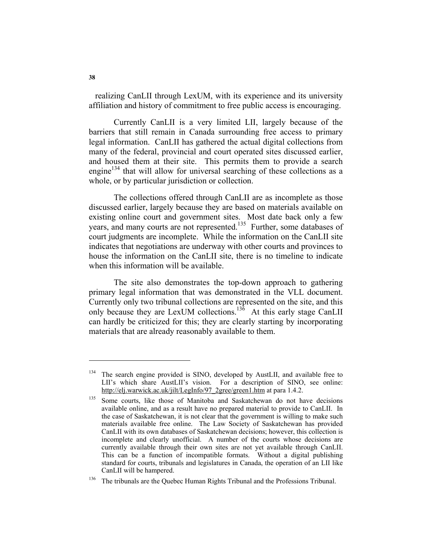realizing CanLII through LexUM, with its experience and its university affiliation and history of commitment to free public access is encouraging.

 Currently CanLII is a very limited LII, largely because of the barriers that still remain in Canada surrounding free access to primary legal information. CanLII has gathered the actual digital collections from many of the federal, provincial and court operated sites discussed earlier, and housed them at their site. This permits them to provide a search engine<sup>134</sup> that will allow for universal searching of these collections as a whole, or by particular jurisdiction or collection.

 The collections offered through CanLII are as incomplete as those discussed earlier, largely because they are based on materials available on existing online court and government sites. Most date back only a few years, and many courts are not represented.<sup>135</sup> Further, some databases of court judgments are incomplete. While the information on the CanLII site indicates that negotiations are underway with other courts and provinces to house the information on the CanLII site, there is no timeline to indicate when this information will be available.

 The site also demonstrates the top-down approach to gathering primary legal information that was demonstrated in the VLL document. Currently only two tribunal collections are represented on the site, and this only because they are LexUM collections.<sup>136</sup> At this early stage CanLII can hardly be criticized for this; they are clearly starting by incorporating materials that are already reasonably available to them.

The search engine provided is SINO, developed by AustLII, and available free to LII's which share AustLII's vision. For a description of SINO, see online: http://elj.warwick.ac.uk/jilt/LegInfo/97\_2gree/green1.htm at para 1.4.2.

Some courts, like those of Manitoba and Saskatchewan do not have decisions available online, and as a result have no prepared material to provide to CanLII. In the case of Saskatchewan, it is not clear that the government is willing to make such materials available free online. The Law Society of Saskatchewan has provided CanLII with its own databases of Saskatchewan decisions; however, this collection is incomplete and clearly unofficial. A number of the courts whose decisions are currently available through their own sites are not yet available through CanLII. This can be a function of incompatible formats. Without a digital publishing standard for courts, tribunals and legislatures in Canada, the operation of an LII like CanLII will be hampered.

<sup>&</sup>lt;sup>136</sup> The tribunals are the Quebec Human Rights Tribunal and the Professions Tribunal.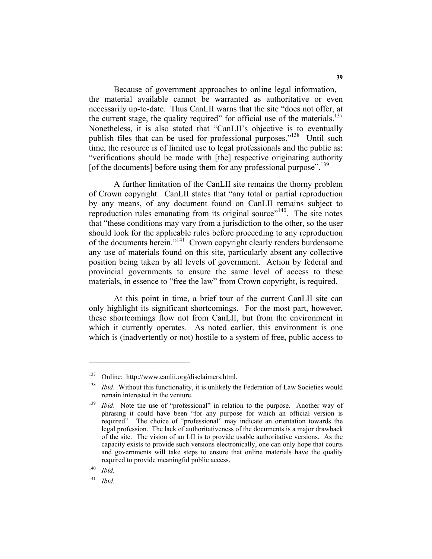Because of government approaches to online legal information, the material available cannot be warranted as authoritative or even necessarily up-to-date. Thus CanLII warns that the site "does not offer, at the current stage, the quality required" for official use of the materials.<sup>137</sup> Nonetheless, it is also stated that "CanLII's objective is to eventually publish files that can be used for professional purposes."<sup>138</sup> Until such time, the resource is of limited use to legal professionals and the public as: "verifications should be made with [the] respective originating authority [of the documents] before using them for any professional purpose".<sup>139</sup>

 A further limitation of the CanLII site remains the thorny problem of Crown copyright. CanLII states that "any total or partial reproduction by any means, of any document found on CanLII remains subject to reproduction rules emanating from its original source"<sup>140</sup>. The site notes that "these conditions may vary from a jurisdiction to the other, so the user should look for the applicable rules before proceeding to any reproduction of the documents herein."141 Crown copyright clearly renders burdensome any use of materials found on this site, particularly absent any collective position being taken by all levels of government. Action by federal and provincial governments to ensure the same level of access to these materials, in essence to "free the law" from Crown copyright, is required.

 At this point in time, a brief tour of the current CanLII site can only highlight its significant shortcomings. For the most part, however, these shortcomings flow not from CanLII, but from the environment in which it currently operates. As noted earlier, this environment is one which is (inadvertently or not) hostile to a system of free, public access to

<sup>140</sup> *Ibid.*

<sup>141</sup> *Ibid.*

<sup>137</sup> Online: http://www.canlii.org/disclaimers.html.

<sup>&</sup>lt;sup>138</sup> *Ibid.* Without this functionality, it is unlikely the Federation of Law Societies would remain interested in the venture.

<sup>139</sup> *Ibid*. Note the use of "professional" in relation to the purpose. Another way of phrasing it could have been "for any purpose for which an official version is required". The choice of "professional" may indicate an orientation towards the legal profession. The lack of authoritativeness of the documents is a major drawback of the site. The vision of an LII is to provide usable authoritative versions. As the capacity exists to provide such versions electronically, one can only hope that courts and governments will take steps to ensure that online materials have the quality required to provide meaningful public access.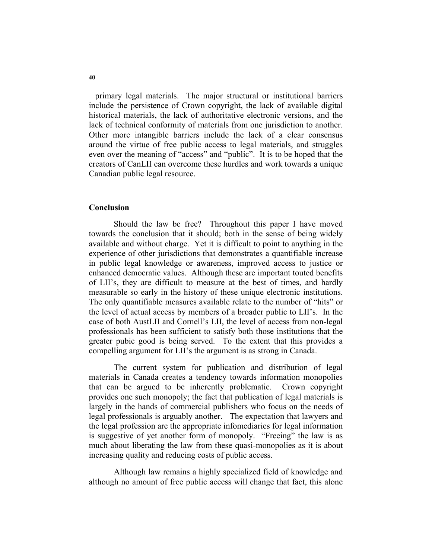primary legal materials. The major structural or institutional barriers include the persistence of Crown copyright, the lack of available digital historical materials, the lack of authoritative electronic versions, and the lack of technical conformity of materials from one jurisdiction to another. Other more intangible barriers include the lack of a clear consensus around the virtue of free public access to legal materials, and struggles even over the meaning of "access" and "public". It is to be hoped that the creators of CanLII can overcome these hurdles and work towards a unique Canadian public legal resource.

#### **Conclusion**

 Should the law be free? Throughout this paper I have moved towards the conclusion that it should; both in the sense of being widely available and without charge. Yet it is difficult to point to anything in the experience of other jurisdictions that demonstrates a quantifiable increase in public legal knowledge or awareness, improved access to justice or enhanced democratic values. Although these are important touted benefits of LII's, they are difficult to measure at the best of times, and hardly measurable so early in the history of these unique electronic institutions. The only quantifiable measures available relate to the number of "hits" or the level of actual access by members of a broader public to LII's. In the case of both AustLII and Cornell's LII, the level of access from non-legal professionals has been sufficient to satisfy both those institutions that the greater pubic good is being served. To the extent that this provides a compelling argument for LII's the argument is as strong in Canada.

 The current system for publication and distribution of legal materials in Canada creates a tendency towards information monopolies that can be argued to be inherently problematic. Crown copyright provides one such monopoly; the fact that publication of legal materials is largely in the hands of commercial publishers who focus on the needs of legal professionals is arguably another. The expectation that lawyers and the legal profession are the appropriate infomediaries for legal information is suggestive of yet another form of monopoly. "Freeing" the law is as much about liberating the law from these quasi-monopolies as it is about increasing quality and reducing costs of public access.

 Although law remains a highly specialized field of knowledge and although no amount of free public access will change that fact, this alone